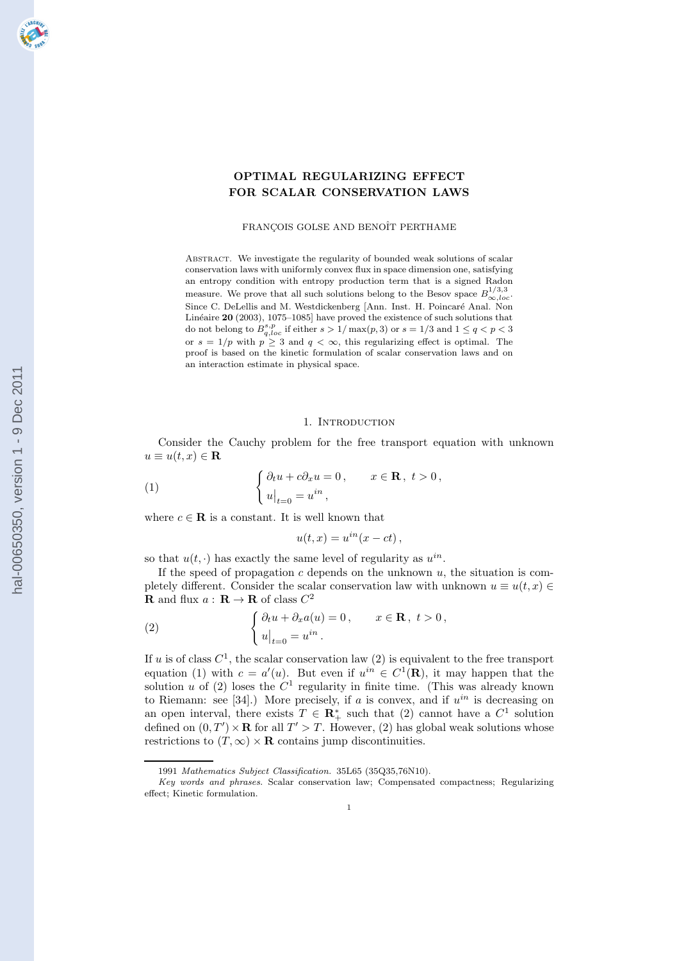# OPTIMAL REGULARIZING EFFECT FOR SCALAR CONSERVATION LAWS

#### FRANÇOIS GOLSE AND BENOÎT PERTHAME

Abstract. We investigate the regularity of bounded weak solutions of scalar conservation laws with uniformly convex flux in space dimension one, satisfying an entropy condition with entropy production term that is a signed Radon measure. We prove that all such solutions belong to the Besov space  $B_{\infty,loc}^{1/3,3}$ . Since C. DeLellis and M. Westdickenberg [Ann. Inst. H. Poincaré Anal. Non Linéaire  $20$  (2003), 1075–1085] have proved the existence of such solutions that do not belong to  $B_{q,loc}^{s,p}$  if either  $s > 1/\max(p,3)$  or  $s = 1/3$  and  $1 \le q < p < 3$ or  $s = 1/p$  with  $p \geq 3$  and  $q < \infty$ , this regularizing effect is optimal. The proof is based on the kinetic formulation of scalar conservation laws and on an interaction estimate in physical space.

## 1. INTRODUCTION

Consider the Cauchy problem for the free transport equation with unknown  $u \equiv u(t, x) \in \mathbf{R}$ 

(1) 
$$
\begin{cases} \partial_t u + c \partial_x u = 0, & x \in \mathbf{R}, \ t > 0, \\ u|_{t=0} = u^{in}, \end{cases}
$$

where  $c \in \mathbf{R}$  is a constant. It is well known that

$$
u(t,x) = u^{in}(x - ct),
$$

so that  $u(t, \cdot)$  has exactly the same level of regularity as  $u^{in}$ .

If the speed of propagation  $c$  depends on the unknown  $u$ , the situation is completely different. Consider the scalar conservation law with unknown  $u \equiv u(t, x) \in$ **R** and flux  $a: \mathbf{R} \to \mathbf{R}$  of class  $C^2$ 

(2) 
$$
\begin{cases} \partial_t u + \partial_x a(u) = 0, & x \in \mathbf{R}, \ t > 0, \\ u|_{t=0} = u^{in}. \end{cases}
$$

If u is of class  $C^1$ , the scalar conservation law (2) is equivalent to the free transport equation (1) with  $c = a'(u)$ . But even if  $u^{in} \in C^1(\mathbf{R})$ , it may happen that the solution u of (2) loses the  $C<sup>1</sup>$  regularity in finite time. (This was already known to Riemann: see [34].) More precisely, if a is convex, and if  $u^{in}$  is decreasing on an open interval, there exists  $T \in \mathbb{R}_+^*$  such that (2) cannot have a  $C^1$  solution defined on  $(0, T') \times \mathbf{R}$  for all  $T' > T$ . However, (2) has global weak solutions whose restrictions to  $(T, \infty) \times \mathbf{R}$  contains jump discontinuities.

<sup>1991</sup> Mathematics Subject Classification. 35L65 (35Q35,76N10).

Key words and phrases. Scalar conservation law; Compensated compactness; Regularizing effect; Kinetic formulation.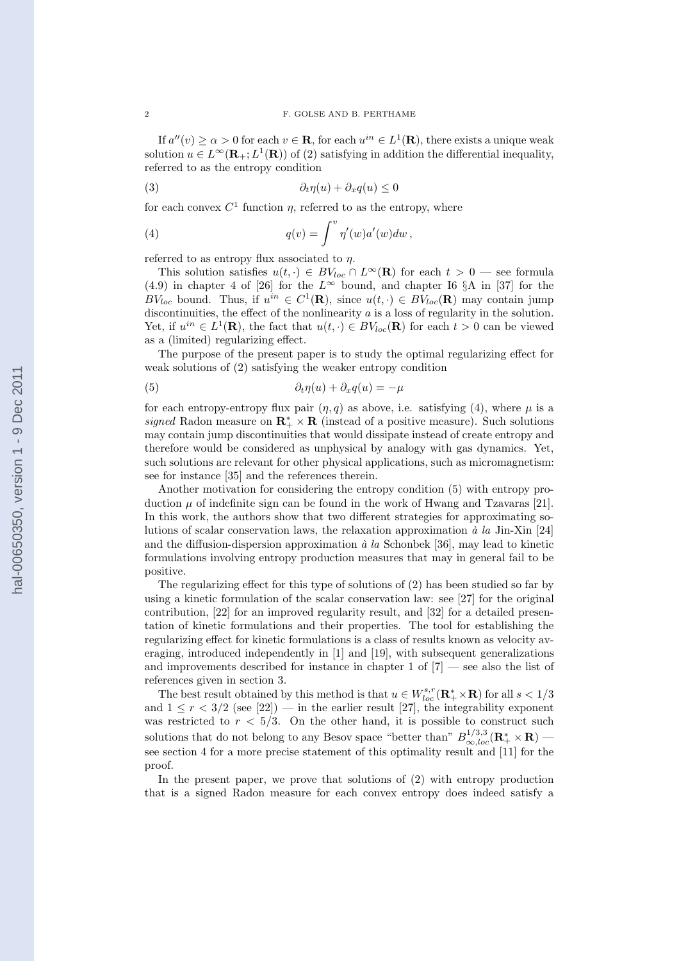If  $a''(v) \ge \alpha > 0$  for each  $v \in \mathbf{R}$ , for each  $u^{in} \in L^1(\mathbf{R})$ , there exists a unique weak solution  $u \in L^{\infty}(\mathbf{R}_{+}; L^{1}(\mathbf{R}))$  of (2) satisfying in addition the differential inequality, referred to as the entropy condition

(3) ∂tη(u) + ∂xq(u) ≤ 0

for each convex  $C^1$  function  $\eta$ , referred to as the entropy, where

(4) 
$$
q(v) = \int^v \eta'(w) a'(w) dw,
$$

referred to as entropy flux associated to  $\eta$ .

This solution satisfies  $u(t, \cdot) \in BV_{loc} \cap L^{\infty}(\mathbf{R})$  for each  $t > 0$  — see formula (4.9) in chapter 4 of [26] for the  $L^{\infty}$  bound, and chapter I6 §A in [37] for the BV<sub>loc</sub> bound. Thus, if  $u^{in} \in C^1(\mathbf{R})$ , since  $u(t, \cdot) \in BV_{loc}(\mathbf{R})$  may contain jump discontinuities, the effect of the nonlinearity  $a$  is a loss of regularity in the solution. Yet, if  $u^{in} \in L^1(\mathbf{R})$ , the fact that  $u(t, \cdot) \in BV_{loc}(\mathbf{R})$  for each  $t > 0$  can be viewed as a (limited) regularizing effect.

The purpose of the present paper is to study the optimal regularizing effect for weak solutions of (2) satisfying the weaker entropy condition

(5) 
$$
\partial_t \eta(u) + \partial_x q(u) = -\mu
$$

for each entropy-entropy flux pair  $(\eta, q)$  as above, i.e. satisfying (4), where  $\mu$  is a signed Radon measure on  $\mathbb{R}_+^* \times \mathbb{R}$  (instead of a positive measure). Such solutions may contain jump discontinuities that would dissipate instead of create entropy and therefore would be considered as unphysical by analogy with gas dynamics. Yet, such solutions are relevant for other physical applications, such as micromagnetism: see for instance [35] and the references therein.

Another motivation for considering the entropy condition (5) with entropy production  $\mu$  of indefinite sign can be found in the work of Hwang and Tzavaras [21]. In this work, the authors show that two different strategies for approximating solutions of scalar conservation laws, the relaxation approximation  $\dot{a}$  la Jin-Xin [24] and the diffusion-dispersion approximation  $\dot{a}$  la Schonbek [36], may lead to kinetic formulations involving entropy production measures that may in general fail to be positive.

The regularizing effect for this type of solutions of (2) has been studied so far by using a kinetic formulation of the scalar conservation law: see [27] for the original contribution, [22] for an improved regularity result, and [32] for a detailed presentation of kinetic formulations and their properties. The tool for establishing the regularizing effect for kinetic formulations is a class of results known as velocity averaging, introduced independently in [1] and [19], with subsequent generalizations and improvements described for instance in chapter 1 of  $[7]$  — see also the list of references given in section 3.

The best result obtained by this method is that  $u \in W^{s,r}_{loc}(\mathbf{R}_+^* \times \mathbf{R})$  for all  $s < 1/3$ and  $1 \leq r < 3/2$  (see [22]) — in the earlier result [27], the integrability exponent was restricted to  $r < 5/3$ . On the other hand, it is possible to construct such solutions that do not belong to any Besov space "better than"  $B_{\infty,loc}^{1/3,3}(\mathbf{R}_{+}^* \times \mathbf{R})$  see section 4 for a more precise statement of this optimality result and [11] for the proof.

In the present paper, we prove that solutions of (2) with entropy production that is a signed Radon measure for each convex entropy does indeed satisfy a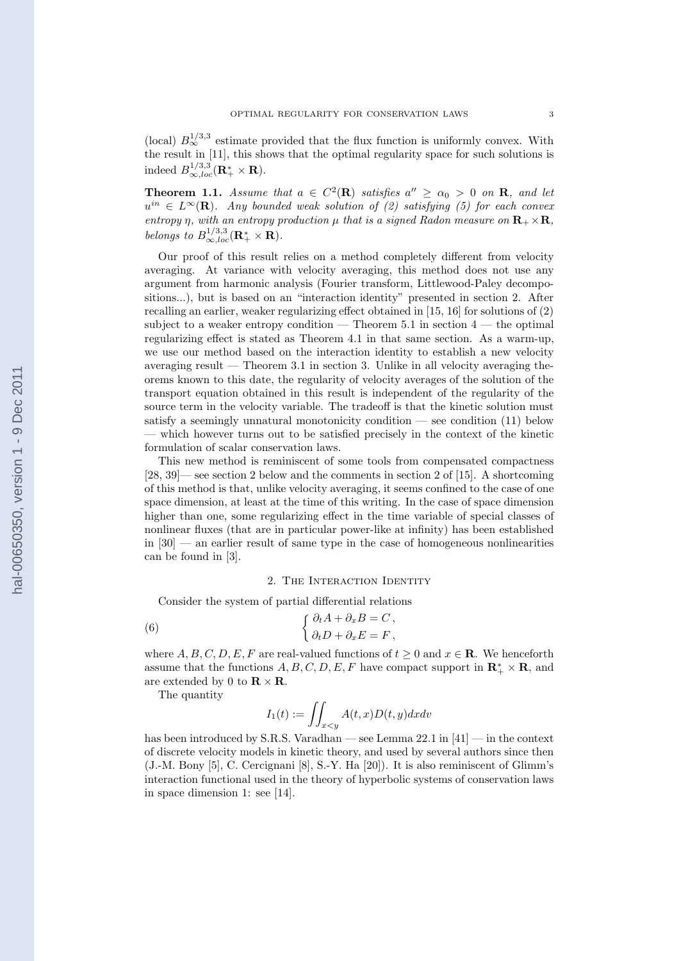(local)  $B^{1/3,3}_{\infty}$  estimate provided that the flux function is uniformly convex. With the result in [11], this shows that the optimal regularity space for such solutions is indeed  $B_{\infty,loc}^{1/3,3}(\mathbf{R}_{+}^* \times \mathbf{R}).$ 

**Theorem 1.1.** Assume that  $a \in C^2(\mathbf{R})$  satisfies  $a'' \ge \alpha_0 > 0$  on **R**, and let  $u^{in} \in L^{\infty}(\mathbf{R})$ . Any bounded weak solution of (2) satisfying (5) for each convex entropy  $\eta$ , with an entropy production  $\mu$  that is a signed Radon measure on  $\mathbf{R}_+ \times \mathbf{R}$ , belongs to  $B_{\infty,loc}^{1/3,3}(\mathbf{R}_+^* \times \mathbf{R}).$ 

Our proof of this result relies on a method completely different from velocity averaging. At variance with velocity averaging, this method does not use any argument from harmonic analysis (Fourier transform, Littlewood-Paley decompositions...), but is based on an "interaction identity" presented in section 2. After recalling an earlier, weaker regularizing effect obtained in [15, 16] for solutions of (2) subject to a weaker entropy condition  $-$  Theorem 5.1 in section  $4$   $-$  the optimal regularizing effect is stated as Theorem 4.1 in that same section. As a warm-up, we use our method based on the interaction identity to establish a new velocity averaging result — Theorem 3.1 in section 3. Unlike in all velocity averaging theorems known to this date, the regularity of velocity averages of the solution of the transport equation obtained in this result is independent of the regularity of the source term in the velocity variable. The tradeoff is that the kinetic solution must satisfy a seemingly unnatural monotonicity condition — see condition (11) below — which however turns out to be satisfied precisely in the context of the kinetic formulation of scalar conservation laws.

This new method is reminiscent of some tools from compensated compactness [28, 39]— see section 2 below and the comments in section 2 of [15]. A shortcoming of this method is that, unlike velocity averaging, it seems confined to the case of one space dimension, at least at the time of this writing. In the case of space dimension higher than one, some regularizing effect in the time variable of special classes of nonlinear fluxes (that are in particular power-like at infinity) has been established in [30] — an earlier result of same type in the case of homogeneous nonlinearities can be found in [3].

## 2. THE INTERACTION IDENTITY

Consider the system of partial differential relations

(6) 
$$
\begin{cases} \partial_t A + \partial_x B = C, \\ \partial_t D + \partial_x E = F, \end{cases}
$$

where  $A, B, C, D, E, F$  are real-valued functions of  $t \geq 0$  and  $x \in \mathbb{R}$ . We henceforth assume that the functions  $A, B, C, D, E, F$  have compact support in  $\mathbb{R}_+^* \times \mathbb{R}$ , and are extended by 0 to  $\mathbf{R} \times \mathbf{R}$ .

The quantity

$$
I_1(t) := \iint_{x < y} A(t, x) D(t, y) dx dv
$$

has been introduced by S.R.S. Varadhan — see Lemma 22.1 in [41] — in the context of discrete velocity models in kinetic theory, and used by several authors since then (J.-M. Bony [5], C. Cercignani [8], S.-Y. Ha [20]). It is also reminiscent of Glimm's interaction functional used in the theory of hyperbolic systems of conservation laws in space dimension 1: see [14].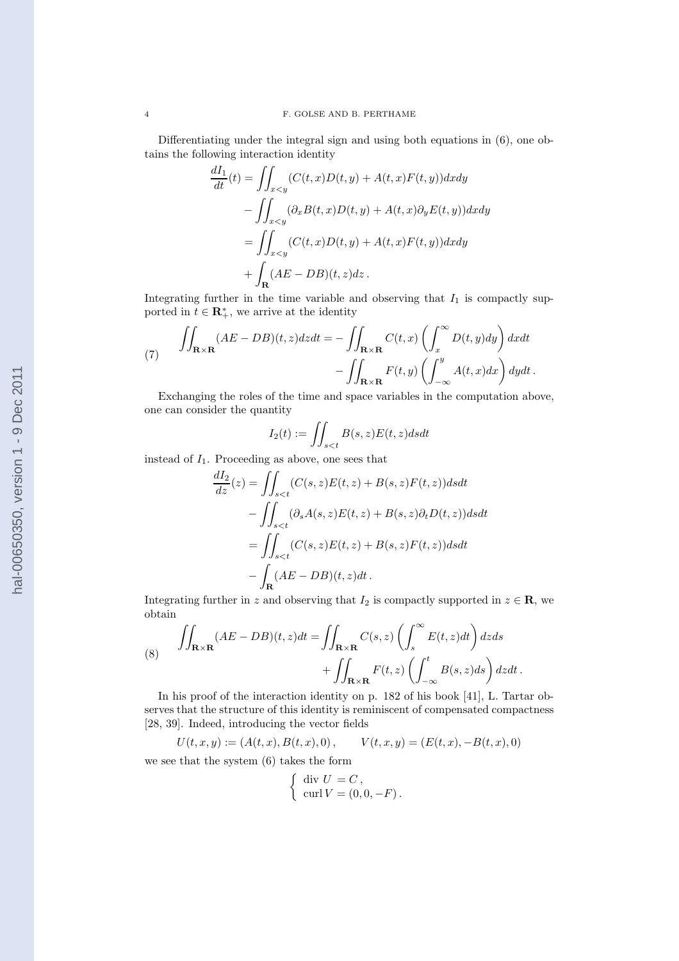Differentiating under the integral sign and using both equations in (6), one obtains the following interaction identity

$$
\frac{dI_1}{dt}(t) = \iint_{x
$$
- \iint_{x
$$
= \iint_{x
$$
+ \int_{\mathbf{R}} (AE - DB)(t,z)dz.
$$
$$
$$
$$

Integrating further in the time variable and observing that  $I_1$  is compactly supported in  $t \in \mathbf{R}_{+}^{*}$ , we arrive at the identity

(7) 
$$
\iint_{\mathbf{R}\times\mathbf{R}} (AE - DB)(t, z) dz dt = - \iint_{\mathbf{R}\times\mathbf{R}} C(t, x) \left( \int_x^{\infty} D(t, y) dy \right) dx dt - \iint_{\mathbf{R}\times\mathbf{R}} F(t, y) \left( \int_{-\infty}^y A(t, x) dx \right) dy dt.
$$

Exchanging the roles of the time and space variables in the computation above, one can consider the quantity

$$
I_2(t) := \iint_{s
$$

instead of  $I_1$ . Proceeding as above, one sees that

$$
\frac{dI_2}{dz}(z) = \iint_{s
$$
- \iint_{s
$$
= \iint_{s
$$
- \iint_{\mathbf{R}} (AE - DB)(t, z)dt.
$$
$$
$$
$$

Integrating further in z and observing that  $I_2$  is compactly supported in  $z \in \mathbf{R}$ , we obtain

(8) 
$$
\iint_{\mathbf{R}\times\mathbf{R}} (AE - DB)(t, z)dt = \iint_{\mathbf{R}\times\mathbf{R}} C(s, z) \left( \int_s^{\infty} E(t, z)dt \right) dzds + \iint_{\mathbf{R}\times\mathbf{R}} F(t, z) \left( \int_{-\infty}^t B(s, z)ds \right) dzdt.
$$

In his proof of the interaction identity on p. 182 of his book [41], L. Tartar observes that the structure of this identity is reminiscent of compensated compactness [28, 39]. Indeed, introducing the vector fields

$$
U(t,x,y):=(A(t,x),B(t,x),0)\,,\qquad V(t,x,y)=(E(t,x),-B(t,x),0)
$$

we see that the system (6) takes the form

$$
\begin{cases} \operatorname{div} U = C, \\ \operatorname{curl} V = (0, 0, -F). \end{cases}
$$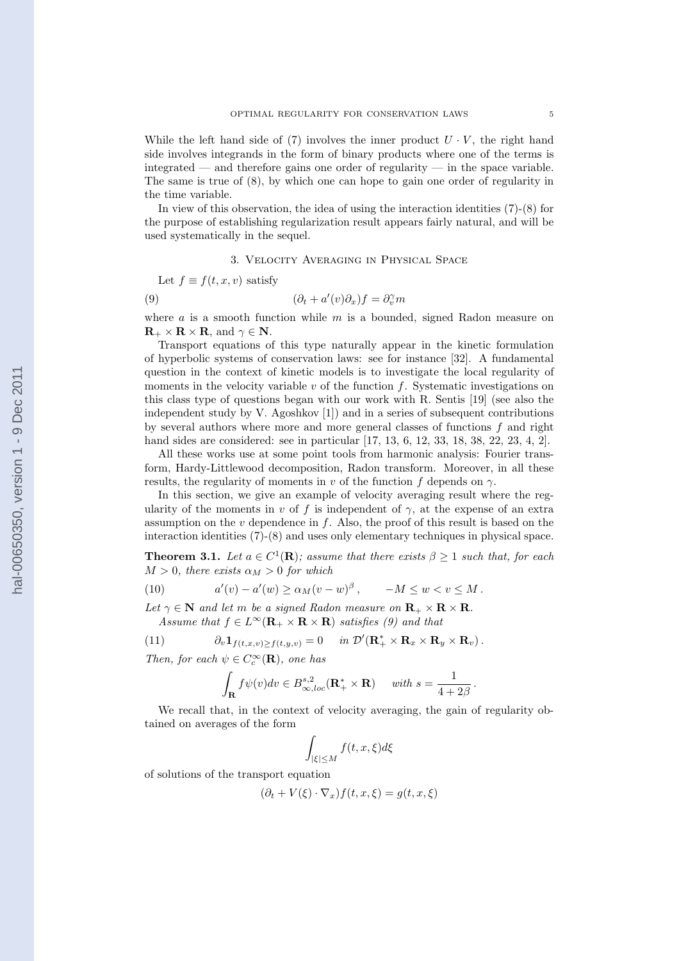While the left hand side of (7) involves the inner product  $U \cdot V$ , the right hand side involves integrands in the form of binary products where one of the terms is integrated — and therefore gains one order of regularity — in the space variable. The same is true of (8), by which one can hope to gain one order of regularity in the time variable.

In view of this observation, the idea of using the interaction identities (7)-(8) for the purpose of establishing regularization result appears fairly natural, and will be used systematically in the sequel.

3. Velocity Averaging in Physical Space

Let 
$$
f \equiv f(t, x, v)
$$
 satisfy

(9) 
$$
(\partial_t + a'(v)\partial_x)f = \partial_v^{\gamma}m
$$

where  $a$  is a smooth function while  $m$  is a bounded, signed Radon measure on  $\mathbf{R}_{+} \times \mathbf{R} \times \mathbf{R}$ , and  $\gamma \in \mathbf{N}$ .

Transport equations of this type naturally appear in the kinetic formulation of hyperbolic systems of conservation laws: see for instance [32]. A fundamental question in the context of kinetic models is to investigate the local regularity of moments in the velocity variable  $v$  of the function  $f$ . Systematic investigations on this class type of questions began with our work with R. Sentis [19] (see also the independent study by V. Agoshkov [1]) and in a series of subsequent contributions by several authors where more and more general classes of functions  $f$  and right hand sides are considered: see in particular [17, 13, 6, 12, 33, 18, 38, 22, 23, 4, 2].

All these works use at some point tools from harmonic analysis: Fourier transform, Hardy-Littlewood decomposition, Radon transform. Moreover, in all these results, the regularity of moments in v of the function f depends on  $\gamma$ .

In this section, we give an example of velocity averaging result where the regularity of the moments in v of f is independent of  $\gamma$ , at the expense of an extra assumption on the  $v$  dependence in  $f$ . Also, the proof of this result is based on the interaction identities (7)-(8) and uses only elementary techniques in physical space.

**Theorem 3.1.** Let  $a \in C^1(\mathbf{R})$ ; assume that there exists  $\beta \geq 1$  such that, for each  $M > 0$ , there exists  $\alpha_M > 0$  for which

(10) 
$$
a'(v) - a'(w) \ge \alpha_M (v - w)^{\beta}, \qquad -M \le w < v \le M.
$$

Let  $\gamma \in \mathbb{N}$  and let m be a signed Radon measure on  $\mathbf{R}_{+} \times \mathbf{R} \times \mathbf{R}$ . Assume that  $f \in L^{\infty}(\mathbf{R}_{+} \times \mathbf{R} \times \mathbf{R})$  satisfies (9) and that

(11) 
$$
\partial_v \mathbf{1}_{f(t,x,v) \geq f(t,y,v)} = 0 \quad \text{in } \mathcal{D}'(\mathbf{R}_+^* \times \mathbf{R}_x \times \mathbf{R}_y \times \mathbf{R}_v).
$$

Then, for each  $\psi \in C_c^{\infty}(\mathbf{R})$ , one has

$$
\int_{\mathbf{R}} f\psi(v)dv \in B^{s,2}_{\infty,loc}(\mathbf{R}_+^* \times \mathbf{R}) \quad \text{ with } s = \frac{1}{4+2\beta}
$$

.

We recall that, in the context of velocity averaging, the gain of regularity obtained on averages of the form

$$
\int_{|\xi| \le M} f(t, x, \xi) d\xi
$$

of solutions of the transport equation

$$
(\partial_t + V(\xi) \cdot \nabla_x) f(t, x, \xi) = g(t, x, \xi)
$$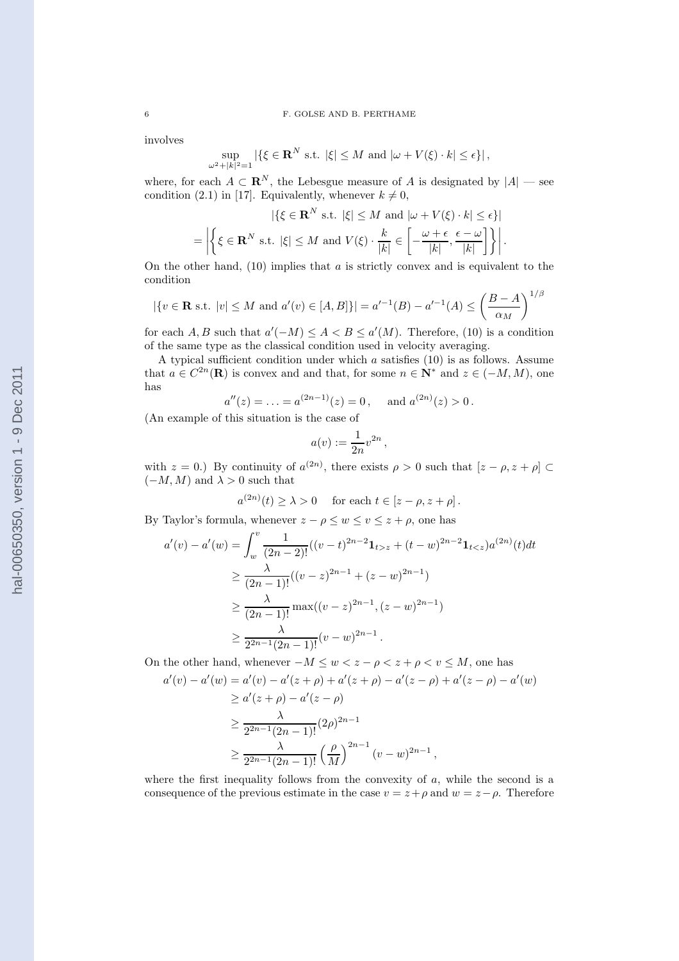involves

$$
\sup_{\omega^2+|k|^2=1} |\{\xi \in \mathbf{R}^N \text{ s.t. } |\xi| \le M \text{ and } |\omega + V(\xi) \cdot k| \le \epsilon\}|,
$$

where, for each  $A \subset \mathbb{R}^N$ , the Lebesgue measure of A is designated by  $|A|$  — see condition (2.1) in [17]. Equivalently, whenever  $k \neq 0$ ,

$$
|\{\xi \in \mathbf{R}^N \text{ s.t. } |\xi| \le M \text{ and } |\omega + V(\xi) \cdot k| \le \epsilon\}|
$$
  
= 
$$
\left| \left\{ \xi \in \mathbf{R}^N \text{ s.t. } |\xi| \le M \text{ and } V(\xi) \cdot \frac{k}{|k|} \in \left[ -\frac{\omega + \epsilon}{|k|}, \frac{\epsilon - \omega}{|k|} \right] \right\} \right|.
$$

On the other hand,  $(10)$  implies that  $a$  is strictly convex and is equivalent to the condition

$$
|\{v \in \mathbf{R} \text{ s.t. } |v| \leq M \text{ and } a'(v) \in [A, B]\}| = a'^{-1}(B) - a'^{-1}(A) \leq \left(\frac{B-A}{\alpha_M}\right)^{1/\beta}
$$

for each A, B such that  $a'(-M) \leq A < B \leq a'(M)$ . Therefore, (10) is a condition of the same type as the classical condition used in velocity averaging.

A typical sufficient condition under which a satisfies (10) is as follows. Assume that  $a \in C^{2n}(\mathbf{R})$  is convex and and that, for some  $n \in \mathbf{N}^*$  and  $z \in (-M, M)$ , one has

$$
a''(z) = \ldots = a^{(2n-1)}(z) = 0
$$
, and  $a^{(2n)}(z) > 0$ .

(An example of this situation is the case of

$$
a(v) := \frac{1}{2n}v^{2n},
$$

with  $z = 0$ .) By continuity of  $a^{(2n)}$ , there exists  $\rho > 0$  such that  $[z - \rho, z + \rho] \subset$  $(-M, M)$  and  $\lambda > 0$  such that

$$
a^{(2n)}(t) \ge \lambda > 0 \quad \text{ for each } t \in [z - \rho, z + \rho].
$$

By Taylor's formula, whenever  $z - \rho \leq w \leq v \leq z + \rho$ , one has

$$
a'(v) - a'(w) = \int_{w}^{v} \frac{1}{(2n-2)!} ((v-t)^{2n-2} \mathbf{1}_{t > z} + (t-w)^{2n-2} \mathbf{1}_{t < z}) a^{(2n)}(t) dt
$$
  
\n
$$
\geq \frac{\lambda}{(2n-1)!} ((v-z)^{2n-1} + (z-w)^{2n-1})
$$
  
\n
$$
\geq \frac{\lambda}{(2n-1)!} \max((v-z)^{2n-1}, (z-w)^{2n-1})
$$
  
\n
$$
\geq \frac{\lambda}{2^{2n-1}(2n-1)!} (v-w)^{2n-1}.
$$

On the other hand, whenever  $-M \leq w < z - \rho < z + \rho < v \leq M$ , one has

$$
a'(v) - a'(w) = a'(v) - a'(z + \rho) + a'(z + \rho) - a'(z - \rho) + a'(z - \rho) - a'(w)
$$
  
\n
$$
\geq a'(z + \rho) - a'(z - \rho)
$$
  
\n
$$
\geq \frac{\lambda}{2^{2n-1}(2n-1)!} (2\rho)^{2n-1}
$$
  
\n
$$
\geq \frac{\lambda}{2^{2n-1}(2n-1)!} \left(\frac{\rho}{M}\right)^{2n-1} (v - w)^{2n-1},
$$

where the first inequality follows from the convexity of  $a$ , while the second is a consequence of the previous estimate in the case  $v = z + \rho$  and  $w = z - \rho$ . Therefore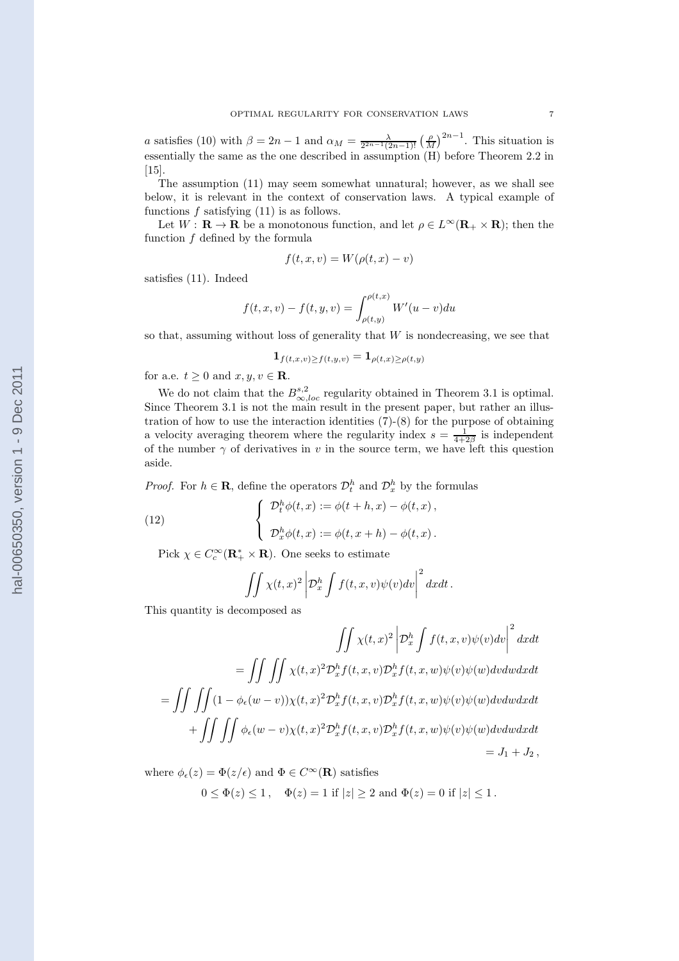a satisfies (10) with  $\beta = 2n - 1$  and  $\alpha_M = \frac{\lambda}{2^{2n-1}(2n-1)!} \left(\frac{\rho}{M}\right)^{2n-1}$ . This situation is essentially the same as the one described in assumption (H) before Theorem 2.2 in [15].

The assumption (11) may seem somewhat unnatural; however, as we shall see below, it is relevant in the context of conservation laws. A typical example of functions  $f$  satisfying  $(11)$  is as follows.

Let  $W: \mathbf{R} \to \mathbf{R}$  be a monotonous function, and let  $\rho \in L^{\infty}(\mathbf{R}_{+} \times \mathbf{R})$ ; then the function  $f$  defined by the formula

$$
f(t, x, v) = W(\rho(t, x) - v)
$$

satisfies (11). Indeed

$$
f(t, x, v) - f(t, y, v) = \int_{\rho(t, y)}^{\rho(t, x)} W'(u - v) du
$$

so that, assuming without loss of generality that  $W$  is nondecreasing, we see that

$$
\mathbf{1}_{f(t,x,v)\geq f(t,y,v)}=\mathbf{1}_{\rho(t,x)\geq \rho(t,y)}
$$

for a.e.  $t \geq 0$  and  $x, y, v \in \mathbf{R}$ .

We do not claim that the  $B^{s,2}_{\infty,loc}$  regularity obtained in Theorem 3.1 is optimal. Since Theorem 3.1 is not the main result in the present paper, but rather an illustration of how to use the interaction identities (7)-(8) for the purpose of obtaining a velocity averaging theorem where the regularity index  $s = \frac{1}{4+2\beta}$  is independent of the number  $\gamma$  of derivatives in v in the source term, we have left this question aside.

*Proof.* For  $h \in \mathbf{R}$ , define the operators  $\mathcal{D}_t^h$  and  $\mathcal{D}_x^h$  by the formulas

(12) 
$$
\begin{cases} \mathcal{D}_t^h \phi(t,x) := \phi(t+h,x) - \phi(t,x), \\ \mathcal{D}_x^h \phi(t,x) := \phi(t,x+h) - \phi(t,x). \end{cases}
$$

Pick  $\chi \in C_c^{\infty}(\mathbf{R}_+^* \times \mathbf{R})$ . One seeks to estimate

$$
\iint \chi(t,x)^2 \left| \mathcal{D}_x^h \int f(t,x,v) \psi(v) dv \right|^2 dx dt.
$$

This quantity is decomposed as

$$
\iint \chi(t,x)^2 \left| \mathcal{D}_x^h \int f(t,x,v) \psi(v) dv \right|^2 dx dt
$$
  
= 
$$
\iint \iint \chi(t,x)^2 \mathcal{D}_x^h f(t,x,v) \mathcal{D}_x^h f(t,x,w) \psi(v) \psi(w) dv dw dx dt
$$
  
= 
$$
\iint \iint (1 - \phi_{\epsilon}(w-v)) \chi(t,x)^2 \mathcal{D}_x^h f(t,x,v) \mathcal{D}_x^h f(t,x,w) \psi(v) \psi(w) dv dw dx dt
$$
  
+ 
$$
\iint \iint \phi_{\epsilon}(w-v) \chi(t,x)^2 \mathcal{D}_x^h f(t,x,v) \mathcal{D}_x^h f(t,x,w) \psi(v) \psi(w) dv dw dx dt
$$
  
= 
$$
J_1 + J_2,
$$

where  $\phi_{\epsilon}(z) = \Phi(z/\epsilon)$  and  $\Phi \in C^{\infty}(\mathbf{R})$  satisfies

 $0 \leq \Phi(z) \leq 1$ ,  $\Phi(z) = 1$  if  $|z| \geq 2$  and  $\Phi(z) = 0$  if  $|z| \leq 1$ .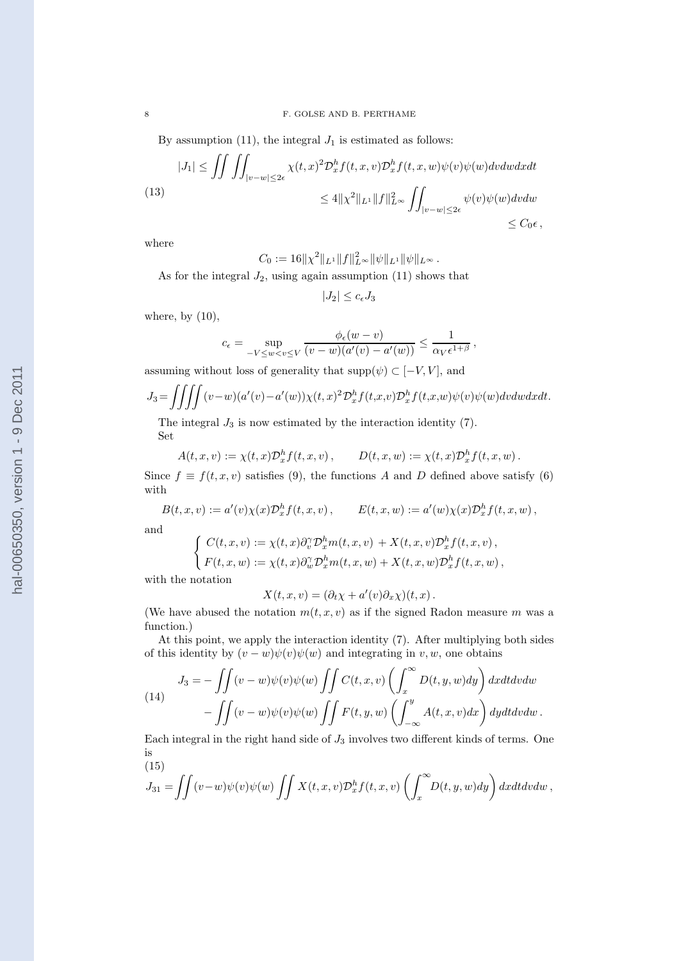By assumption (11), the integral  $J_1$  is estimated as follows:

$$
|J_1| \le \iiint_{|v-w| \le 2\epsilon} \chi(t,x)^2 \mathcal{D}_x^h f(t,x,v) \mathcal{D}_x^h f(t,x,w) \psi(v) \psi(w) dv dw dx dt
$$
  
(13)  

$$
\le 4 \| \chi^2 \|_{L^1} \| f \|_{L^\infty}^2 \iint_{|v-w| \le 2\epsilon} \psi(v) \psi(w) dv dw
$$
  

$$
\le C_0 \epsilon,
$$

where

 $C_0 := 16 \|\chi^2\|_{L^1} \|f\|_{L^\infty}^2 \|\psi\|_{L^1} \|\psi\|_{L^\infty}.$ 

As for the integral  $J_2$ , using again assumption (11) shows that

$$
|J_2| \le c_{\epsilon} J_3
$$

where, by  $(10)$ ,

$$
c_{\epsilon} = \sup_{-V \leq w < v \leq V} \frac{\phi_{\epsilon}(w - v)}{(v - w)(a'(v) - a'(w))} \leq \frac{1}{\alpha_V \epsilon^{1 + \beta}},
$$

assuming without loss of generality that  $\mathrm{supp}(\psi)\subset [-V,V],$  and

$$
J_3 = \iiint (v-w)(a'(v)-a'(w))\chi(t,x)^2 \mathcal{D}_x^h f(t,x,v) \mathcal{D}_x^h f(t,x,w) \psi(v) \psi(w) dv dw dx dt.
$$

The integral  $J_3$  is now estimated by the interaction identity  $(7)$ . Set

$$
A(t,x,v):=\chi(t,x)\mathcal{D}_x^h f(t,x,v)\,,\qquad D(t,x,w):=\chi(t,x)\mathcal{D}_x^h f(t,x,w)\,.
$$

Since  $f \equiv f(t, x, v)$  satisfies (9), the functions A and D defined above satisfy (6) with

$$
B(t, x, v) := a'(v)\chi(x)\mathcal{D}_x^h f(t, x, v), \qquad E(t, x, w) := a'(w)\chi(x)\mathcal{D}_x^h f(t, x, w),
$$

and

$$
\left\{ \begin{aligned} C(t,x,v) &:= \chi(t,x) \partial_v^{\gamma} \mathcal{D}_x^h m(t,x,v) \, + X(t,x,v) \mathcal{D}_x^h f(t,x,v) \, , \\ F(t,x,w) &:= \chi(t,x) \partial_w^{\gamma} \mathcal{D}_x^h m(t,x,w) + X(t,x,w) \mathcal{D}_x^h f(t,x,w) \, , \end{aligned} \right.
$$

with the notation

$$
X(t, x, v) = (\partial_t \chi + a'(v)\partial_x \chi)(t, x).
$$

(We have abused the notation  $m(t, x, v)$  as if the signed Radon measure m was a function.)

At this point, we apply the interaction identity (7). After multiplying both sides of this identity by  $(v - w)\psi(v)\psi(w)$  and integrating in v, w, one obtains

(14)  
\n
$$
J_3 = -\iint (v - w)\psi(v)\psi(w)\iint C(t, x, v)\left(\int_x^\infty D(t, y, w)dy\right)dx dt dv dw
$$
\n
$$
-\iint (v - w)\psi(v)\psi(w)\iint F(t, y, w)\left(\int_{-\infty}^y A(t, x, v)dx\right)dy dt dv dw.
$$

Each integral in the right hand side of  $J_3$  involves two different kinds of terms. One is  $(15)$ 

$$
J_{31} = \iint (v-w)\psi(v)\psi(w)\iint X(t,x,v)\mathcal{D}_x^h f(t,x,v)\left(\int_x^\infty D(t,y,w)dy\right)dx dt dv dw,
$$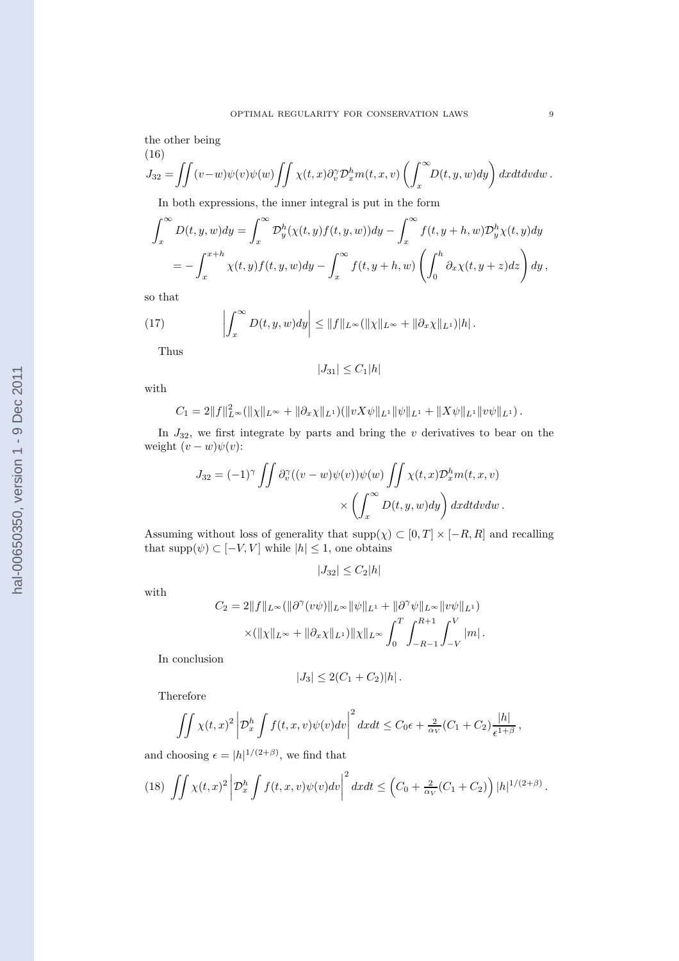the other being (16)

$$
J_{32} = \iint (v-w)\psi(v)\psi(w)\iint \chi(t,x)\partial_v^{\gamma}\mathcal{D}_x^h m(t,x,v)\left(\int_x^{\infty} D(t,y,w)dy\right) dx dt dv dw.
$$

In both expressions, the inner integral is put in the form

$$
\int_x^{\infty} D(t, y, w) dy = \int_x^{\infty} \mathcal{D}_y^h(\chi(t, y) f(t, y, w)) dy - \int_x^{\infty} f(t, y + h, w) \mathcal{D}_y^h \chi(t, y) dy
$$
  
= 
$$
- \int_x^{x + h} \chi(t, y) f(t, y, w) dy - \int_x^{\infty} f(t, y + h, w) \left( \int_0^h \partial_x \chi(t, y + z) dz \right) dy,
$$

so that

(17) 
$$
\left|\int_x^{\infty} D(t,y,w)dy\right| \leq \|f\|_{L^{\infty}}(\|\chi\|_{L^{\infty}} + \|\partial_x \chi\|_{L^1})|h|.
$$

Thus

$$
|J_{31}|\leq C_1|h|
$$

with

$$
C_1 = 2||f||_{L^{\infty}}^2(||\chi||_{L^{\infty}} + ||\partial_x \chi||_{L^1})(||vX\psi||_{L^1}||\psi||_{L^1} + ||X\psi||_{L^1}||v\psi||_{L^1}).
$$

In  $J_{32}$ , we first integrate by parts and bring the v derivatives to bear on the weight  $(v - w)\psi(v)$ :

$$
J_{32} = (-1)^{\gamma} \iint \partial_v^{\gamma} ((v - w)\psi(v))\psi(w) \iint \chi(t, x) \mathcal{D}_x^h m(t, x, v)
$$

$$
\times \left( \int_x^{\infty} D(t, y, w) dy \right) dx dt dv dw.
$$

Assuming without loss of generality that  $\text{supp}(\chi) \subset [0, T] \times [-R, R]$  and recalling that  $\text{supp}(\psi) \subset [-V, V]$  while  $|h| \leq 1$ , one obtains

$$
|J_{32}| \leq C_2 |h|
$$

with

$$
C_2 = 2||f||_{L^{\infty}}(||\partial^{\gamma}(v\psi)||_{L^{\infty}}||\psi||_{L^1} + ||\partial^{\gamma}\psi||_{L^{\infty}}||v\psi||_{L^1})
$$
  
 
$$
\times (||\chi||_{L^{\infty}} + ||\partial_x \chi||_{L^1})||\chi||_{L^{\infty}} \int_0^T \int_{-R-1}^{R+1} \int_{-V}^V |m|.
$$

In conclusion

$$
|J_3| \le 2(C_1 + C_2)|h|.
$$

Therefore

$$
\iint \chi(t,x)^2 \left| \mathcal{D}_x^h \int f(t,x,v)\psi(v)dv \right|^2 dx dt \le C_0 \epsilon + \frac{2}{\alpha V} (C_1 + C_2) \frac{|h|}{\epsilon^{1+\beta}}
$$

and choosing  $\epsilon = |h|^{1/(2+\beta)}$ , we find that

$$
(18)\ \iint \chi(t,x)^2 \left| \mathcal{D}_x^h \int f(t,x,v)\psi(v)dv \right|^2 dxdt \leq \left(C_0 + \frac{2}{\alpha_V}(C_1 + C_2)\right)|h|^{1/(2+\beta)}.
$$

,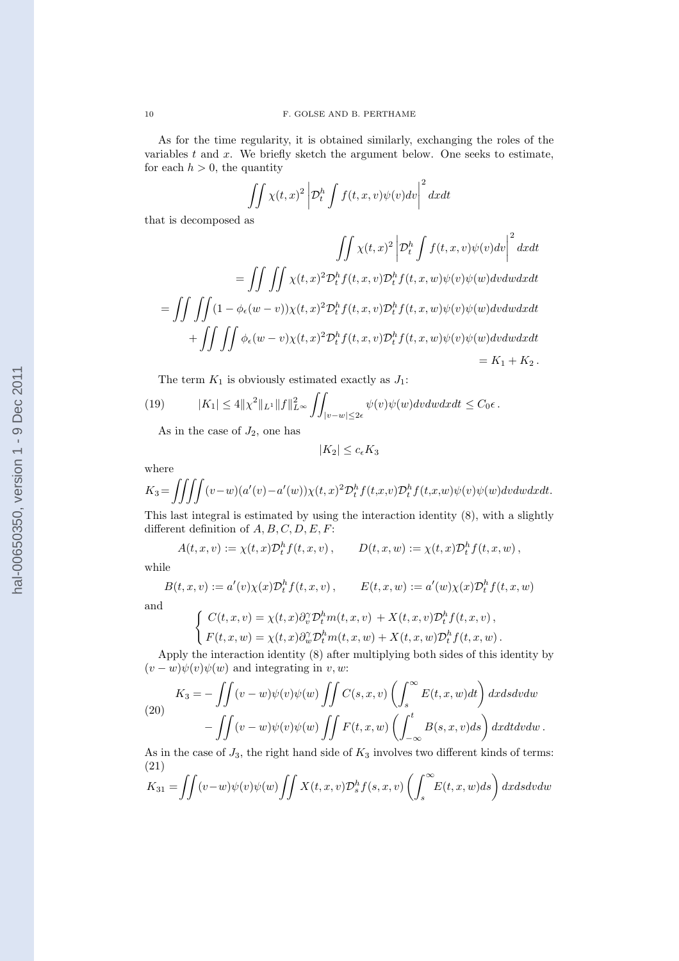As for the time regularity, it is obtained similarly, exchanging the roles of the variables  $t$  and  $x$ . We briefly sketch the argument below. One seeks to estimate, for each  $h > 0$ , the quantity

$$
\iint \chi(t,x)^2 \left| \mathcal{D}_t^h \int f(t,x,v) \psi(v) dv \right|^2 dx dt
$$

that is decomposed as

$$
\iint \chi(t,x)^2 \left| \mathcal{D}_t^h \int f(t,x,v)\psi(v) dv \right|^2 dx dt
$$
  
= 
$$
\iint \iint \chi(t,x)^2 \mathcal{D}_t^h f(t,x,v) \mathcal{D}_t^h f(t,x,w)\psi(v)\psi(w)dv dw dx dt
$$
  
= 
$$
\iint \iint (1 - \phi_{\epsilon}(w-v))\chi(t,x)^2 \mathcal{D}_t^h f(t,x,v) \mathcal{D}_t^h f(t,x,w)\psi(v)\psi(w)dv dw dx dt
$$
  
+ 
$$
\iint \iint \phi_{\epsilon}(w-v)\chi(t,x)^2 \mathcal{D}_t^h f(t,x,v) \mathcal{D}_t^h f(t,x,w)\psi(v)\psi(w)dv dw dx dt
$$
  
= 
$$
K_1 + K_2.
$$

The term  $K_1$  is obviously estimated exactly as  $J_1$ :

(19) 
$$
|K_1| \le 4||\chi^2||_{L^1}||f||_{L^{\infty}}^2 \iint_{|v-w| \le 2\epsilon} \psi(v)\psi(w)dv dw dx dt \le C_0\epsilon.
$$

As in the case of  $J_2$ , one has

$$
|K_2| \le c_{\epsilon} K_3
$$

where

$$
K_3 = \iiint (v-w)(a'(v)-a'(w))\chi(t,x)^2 \mathcal{D}_t^h f(t,x,v) \mathcal{D}_t^h f(t,x,w) \psi(v) \psi(w) dv dw dx dt.
$$

This last integral is estimated by using the interaction identity (8), with a slightly different definition of  $A, B, C, D, E, F$ :

$$
A(t,x,v) := \chi(t,x)\mathcal{D}_t^h f(t,x,v), \qquad D(t,x,w) := \chi(t,x)\mathcal{D}_t^h f(t,x,w),
$$

while

$$
B(t, x, v) := a'(v)\chi(x)\mathcal{D}_t^h f(t, x, v), \qquad E(t, x, w) := a'(w)\chi(x)\mathcal{D}_t^h f(t, x, w)
$$

and

$$
\begin{cases}\nC(t, x, v) = \chi(t, x)\partial_v^{\gamma}\mathcal{D}_t^h m(t, x, v) + X(t, x, v)\mathcal{D}_t^h f(t, x, v), \\
F(t, x, w) = \chi(t, x)\partial_w^{\gamma}\mathcal{D}_t^h m(t, x, w) + X(t, x, w)\mathcal{D}_t^h f(t, x, w).\n\end{cases}
$$

Apply the interaction identity (8) after multiplying both sides of this identity by  $(v - w)\psi(v)\psi(w)$  and integrating in v, w:

(20) 
$$
K_3 = -\iint (v - w)\psi(v)\psi(w)\iint C(s, x, v)\left(\int_s^\infty E(t, x, w)dt\right) dx ds dv dw - \iint (v - w)\psi(v)\psi(w)\iint F(t, x, w)\left(\int_{-\infty}^t B(s, x, v)ds\right) dx dt dv dw.
$$

As in the case of  $J_3$ , the right hand side of  $K_3$  involves two different kinds of terms: (21)

$$
K_{31} = \iint (v-w)\psi(v)\psi(w)\iint X(t,x,v)\mathcal{D}_s^h f(s,x,v)\left(\int_s^\infty E(t,x,w)ds\right)dx ds dv dw
$$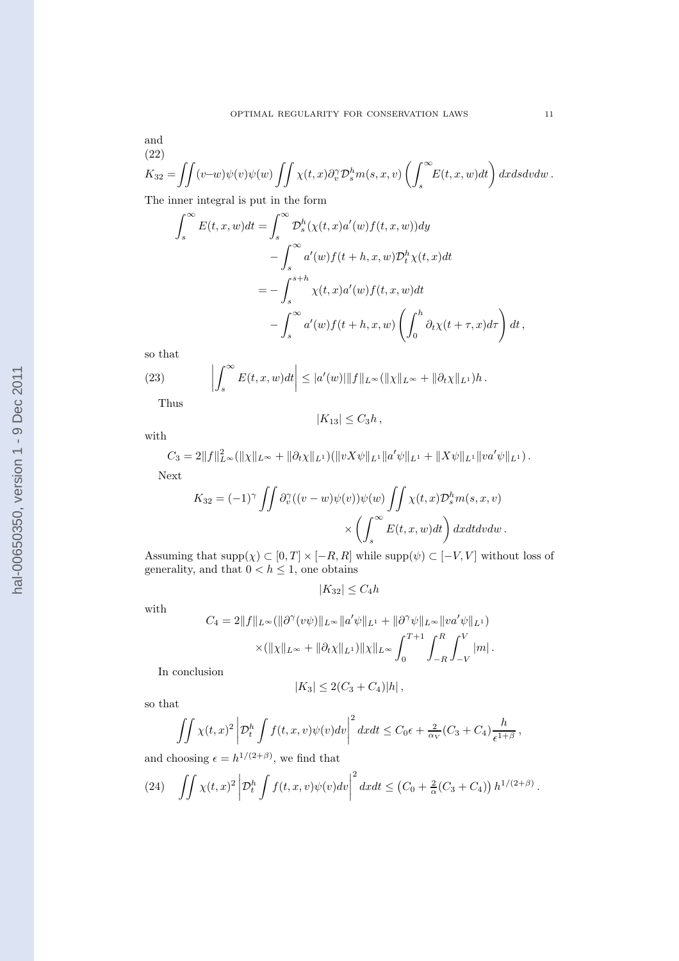and (22)

$$
K_{32} = \iint (v-w)\psi(v)\psi(w) \iint \chi(t,x)\partial_v^{\gamma} \mathcal{D}_s^h m(s,x,v) \left(\int_s^{\infty} E(t,x,w)dt\right) dx ds dv dw.
$$
  
The inner integral is put in the form

The inner integral is put in the form

$$
\int_{s}^{\infty} E(t, x, w) dt = \int_{s}^{\infty} \mathcal{D}_{s}^{h}(\chi(t, x)a'(w)f(t, x, w)) dy
$$
  

$$
- \int_{s}^{\infty} a'(w)f(t + h, x, w) \mathcal{D}_{t}^{h} \chi(t, x) dt
$$
  

$$
= - \int_{s}^{s+h} \chi(t, x)a'(w)f(t, x, w) dt
$$
  

$$
- \int_{s}^{\infty} a'(w)f(t + h, x, w) \left( \int_{0}^{h} \partial_{t} \chi(t + \tau, x) d\tau \right) dt,
$$

so that

(23) 
$$
\left| \int_s^{\infty} E(t, x, w) dt \right| \leq |a'(w)| \|f\|_{L^{\infty}} (\|\chi\|_{L^{\infty}} + \|\partial_t \chi\|_{L^1}) h.
$$
Thus

Thus

$$
|K_{13}|\leq C_3h,
$$

with

$$
C_3 = 2||f||_{L^{\infty}}^2(||\chi||_{L^{\infty}} + ||\partial_t \chi||_{L^1})(||vX\psi||_{L^1}||a'\psi||_{L^1} + ||X\psi||_{L^1}||va'\psi||_{L^1}).
$$
  
Next

Next

$$
K_{32} = (-1)^{\gamma} \iint \partial_v^{\gamma} ((v - w)\psi(v))\psi(w) \iint \chi(t, x) \mathcal{D}_s^h m(s, x, v)
$$

$$
\times \left( \int_s^{\infty} E(t, x, w) dt \right) dx dt dv dw.
$$

Assuming that  $\text{supp}(\chi) \subset [0, T] \times [-R, R]$  while  $\text{supp}(\psi) \subset [-V, V]$  without loss of generality, and that  $0 < h \leq 1$ , one obtains

$$
|K_{32}| \le C_4 h
$$

with

$$
C_4 = 2||f||_{L^{\infty}}(||\partial^{\gamma}(v\psi)||_{L^{\infty}}||a'\psi||_{L^1} + ||\partial^{\gamma}\psi||_{L^{\infty}}||va'\psi||_{L^1})
$$
  
 
$$
\times (||\chi||_{L^{\infty}} + ||\partial_t \chi||_{L^1})||\chi||_{L^{\infty}} \int_0^{T+1} \int_{-R}^R \int_{-V}^V |m|.
$$

In conclusion

$$
|K_3| \le 2(C_3 + C_4)|h| \,,
$$

so that

$$
\iint \chi(t,x)^2 \left| \mathcal{D}_t^h \int f(t,x,v) \psi(v) dv \right|^2 dx dt \le C_0 \epsilon + \frac{2}{\alpha_V} (C_3 + C_4) \frac{h}{\epsilon^{1+\beta}},
$$

and choosing 
$$
\epsilon = h^{1/(2+\beta)}
$$
, we find that

(24) 
$$
\iint \chi(t,x)^2 \left| \mathcal{D}_t^h \int f(t,x,v) \psi(v) dv \right|^2 dx dt \leq (C_0 + \frac{2}{\alpha} (C_3 + C_4)) h^{1/(2+\beta)}.
$$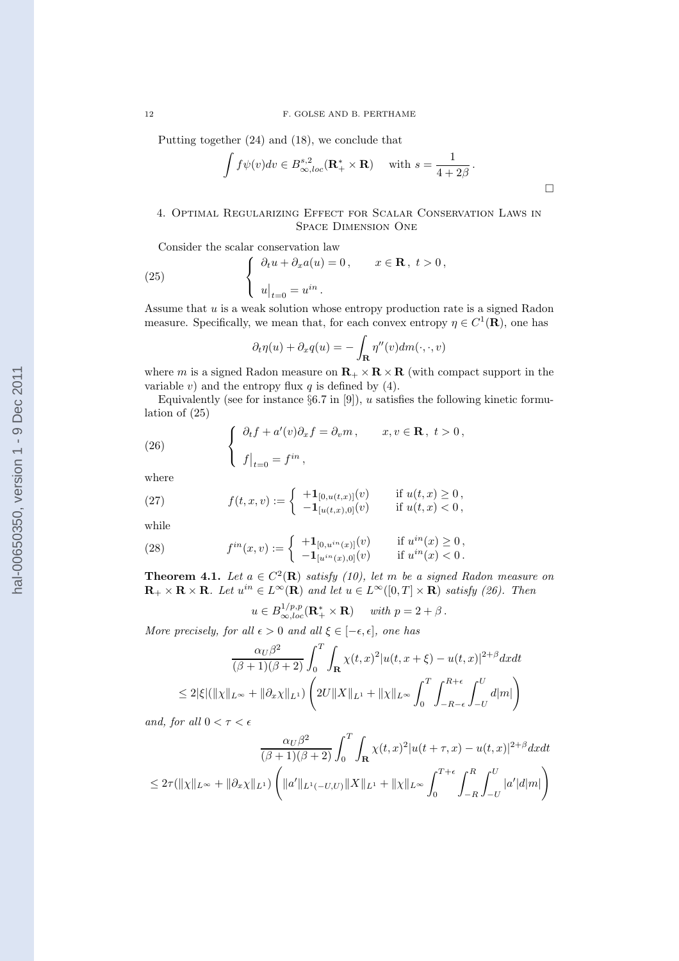Putting together (24) and (18), we conclude that

$$
\int f\psi(v)dv \in B^{s,2}_{\infty,loc}(\mathbf{R}_+^* \times \mathbf{R}) \quad \text{ with } s = \frac{1}{4+2\beta}.
$$

 $\Box$ 

## 4. Optimal Regularizing Effect for Scalar Conservation Laws in Space Dimension One

Consider the scalar conservation law

(25) 
$$
\begin{cases} \partial_t u + \partial_x a(u) = 0, & x \in \mathbf{R}, \ t > 0, \\ u|_{t=0} = u^{in}. \end{cases}
$$

Assume that  $u$  is a weak solution whose entropy production rate is a signed Radon measure. Specifically, we mean that, for each convex entropy  $\eta \in C^1(\mathbf{R})$ , one has

$$
\partial_t \eta(u) + \partial_x q(u) = -\int_{\mathbf{R}} \eta''(v) dm(\cdot, \cdot, v)
$$

where m is a signed Radon measure on  $\mathbf{R}_+ \times \mathbf{R} \times \mathbf{R}$  (with compact support in the variable v) and the entropy flux  $q$  is defined by (4).

Equivalently (see for instance  $\S6.7$  in [9]), u satisfies the following kinetic formulation of (25)

(26) 
$$
\begin{cases} \partial_t f + a'(v)\partial_x f = \partial_v m, & x, v \in \mathbf{R}, \ t > 0, \\ f|_{t=0} = f^{in}, \end{cases}
$$

where

(27) 
$$
f(t,x,v) := \begin{cases} +\mathbf{1}_{[0,u(t,x)]}(v) & \text{if } u(t,x) \geq 0, \\ -\mathbf{1}_{[u(t,x),0]}(v) & \text{if } u(t,x) < 0, \end{cases}
$$

while

(28) 
$$
f^{in}(x,v) := \begin{cases} +1_{[0,u^{in}(x)]}(v) & \text{if } u^{in}(x) \ge 0, \\ -1_{[u^{in}(x),0]}(v) & \text{if } u^{in}(x) < 0. \end{cases}
$$

**Theorem 4.1.** Let  $a \in C^2(\mathbf{R})$  satisfy (10), let m be a signed Radon measure on  $\mathbf{R}_+ \times \mathbf{R} \times \mathbf{R}$ . Let  $u^{in} \in L^{\infty}(\mathbf{R})$  and let  $u \in L^{\infty}([0,T] \times \mathbf{R})$  satisfy (26). Then

$$
u \in B_{\infty, loc}^{1/p, p}(\mathbf{R}_+^* \times \mathbf{R}) \quad \text{ with } p = 2 + \beta \, .
$$

More precisely, for all  $\epsilon > 0$  and all  $\xi \in [-\epsilon, \epsilon]$ , one has

$$
\frac{\alpha_U \beta^2}{(\beta+1)(\beta+2)} \int_0^T \int_{\mathbf{R}} \chi(t,x)^2 |u(t,x+\xi) - u(t,x)|^{2+\beta} dx dt
$$
  
\n
$$
\leq 2|\xi| (\|\chi\|_{L^{\infty}} + \|\partial_x \chi\|_{L^1}) \left( 2U \|X\|_{L^1} + \|\chi\|_{L^{\infty}} \int_0^T \int_{-R-\epsilon}^{R+\epsilon} \int_{-U}^U d|m| \right)
$$

and, for all  $0 < \tau < \epsilon$ 

$$
\frac{\alpha_U \beta^2}{(\beta+1)(\beta+2)} \int_0^T \int_{\mathbf{R}} \chi(t,x)^2 |u(t+\tau,x) - u(t,x)|^{2+\beta} dx dt
$$
  

$$
\leq 2\tau(||\chi||_{L^{\infty}} + ||\partial_x \chi||_{L^1}) \left( ||a'||_{L^1(-U,U)} ||X||_{L^1} + ||\chi||_{L^{\infty}} \int_0^{T+\epsilon} \int_{-R}^R \int_{-U}^U |a'| d|m| \right)
$$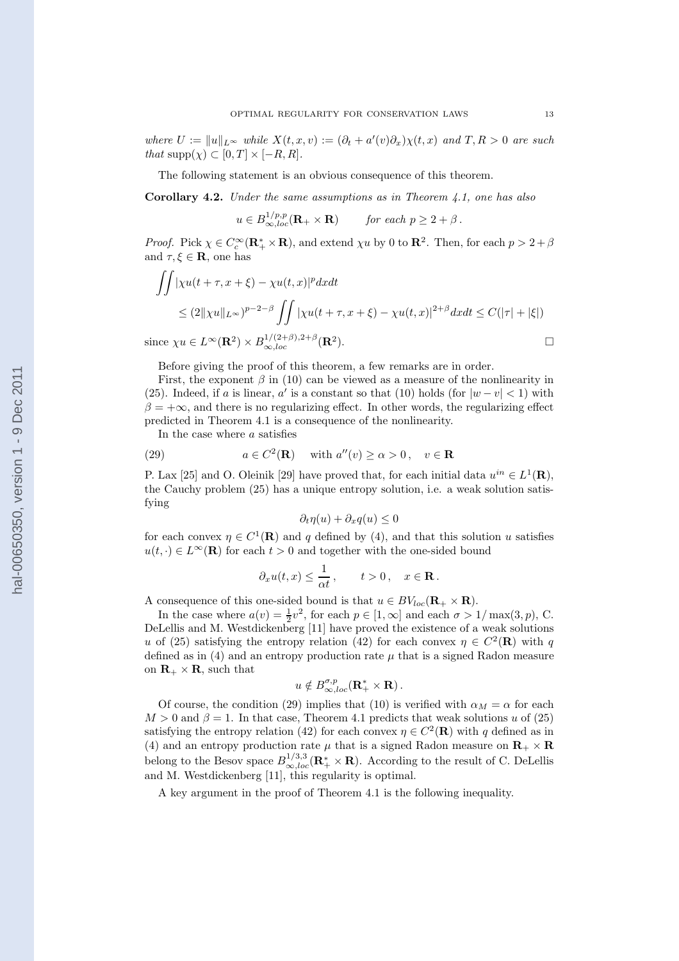where  $U := ||u||_{L^{\infty}}$  while  $X(t, x, v) := (\partial_t + a'(v)\partial_x)\chi(t, x)$  and  $T, R > 0$  are such that  $\text{supp}(\chi) \subset [0, T] \times [-R, R].$ 

The following statement is an obvious consequence of this theorem.

**Corollary 4.2.** Under the same assumptions as in Theorem  $\ddot{4}$ .1, one has also

 $u \in B_{\infty, loc}^{1/p,p} (\mathbf{R}_{+} \times \mathbf{R})$  for each  $p \geq 2 + \beta$ .

*Proof.* Pick  $\chi \in C_c^{\infty}(\mathbf{R}_+^* \times \mathbf{R})$ , and extend  $\chi u$  by 0 to  $\mathbf{R}^2$ . Then, for each  $p > 2 + \beta$ and  $\tau, \xi \in \mathbf{R}$ , one has

$$
\iint |\chi u(t+\tau, x+\xi) - \chi u(t,x)|^p dx dt
$$
  
\n
$$
\leq (2||\chi u||_{L^{\infty}})^{p-2-\beta} \iint |\chi u(t+\tau, x+\xi) - \chi u(t,x)|^{2+\beta} dx dt \leq C(|\tau| + |\xi|)
$$
  
\nsince  $\chi u \in L^{\infty}(\mathbf{R}^2) \times B_{\infty,loc}^{1/(2+\beta),2+\beta}(\mathbf{R}^2).$ 

Before giving the proof of this theorem, a few remarks are in order.

First, the exponent  $\beta$  in (10) can be viewed as a measure of the nonlinearity in (25). Indeed, if a is linear, a' is a constant so that (10) holds (for  $|w-v| < 1$ ) with  $\beta = +\infty$ , and there is no regularizing effect. In other words, the regularizing effect predicted in Theorem 4.1 is a consequence of the nonlinearity.

In the case where a satisfies

(29) 
$$
a \in C^2(\mathbf{R}) \quad \text{with } a''(v) \ge \alpha > 0, \quad v \in \mathbf{R}
$$

P. Lax [25] and O. Oleinik [29] have proved that, for each initial data  $u^{in} \in L^1(\mathbf{R})$ , the Cauchy problem (25) has a unique entropy solution, i.e. a weak solution satisfying

$$
\partial_t \eta(u) + \partial_x q(u) \le 0
$$

for each convex  $\eta \in C^1(\mathbf{R})$  and q defined by (4), and that this solution u satisfies  $u(t, \cdot) \in L^{\infty}(\mathbf{R})$  for each  $t > 0$  and together with the one-sided bound

$$
\partial_x u(t,x) \leq \frac{1}{\alpha t}, \qquad t > 0, \quad x \in \mathbf{R}.
$$

A consequence of this one-sided bound is that  $u \in BV_{loc}(\mathbf{R}_{+} \times \mathbf{R})$ .

In the case where  $a(v) = \frac{1}{2}v^2$ , for each  $p \in [1, \infty]$  and each  $\sigma > 1/\max(3, p)$ , C. DeLellis and M. Westdickenberg [11] have proved the existence of a weak solutions u of (25) satisfying the entropy relation (42) for each convex  $\eta \in C^2(\mathbf{R})$  with q defined as in  $(4)$  and an entropy production rate  $\mu$  that is a signed Radon measure on  $\mathbf{R}_{+} \times \mathbf{R}$ , such that

$$
u \notin B^{\sigma, p}_{\infty, loc}({\bf R}^*_+ \times {\bf R})\,.
$$

Of course, the condition (29) implies that (10) is verified with  $\alpha_M = \alpha$  for each  $M > 0$  and  $\beta = 1$ . In that case, Theorem 4.1 predicts that weak solutions u of (25) satisfying the entropy relation (42) for each convex  $\eta \in C^2(\mathbf{R})$  with q defined as in (4) and an entropy production rate  $\mu$  that is a signed Radon measure on  $\mathbf{R}_{+} \times \mathbf{R}$ belong to the Besov space  $B_{\infty,loc}^{1/3,3}(\mathbf{R}_+^* \times \mathbf{R})$ . According to the result of C. DeLellis and M. Westdickenberg [11], this regularity is optimal.

A key argument in the proof of Theorem 4.1 is the following inequality.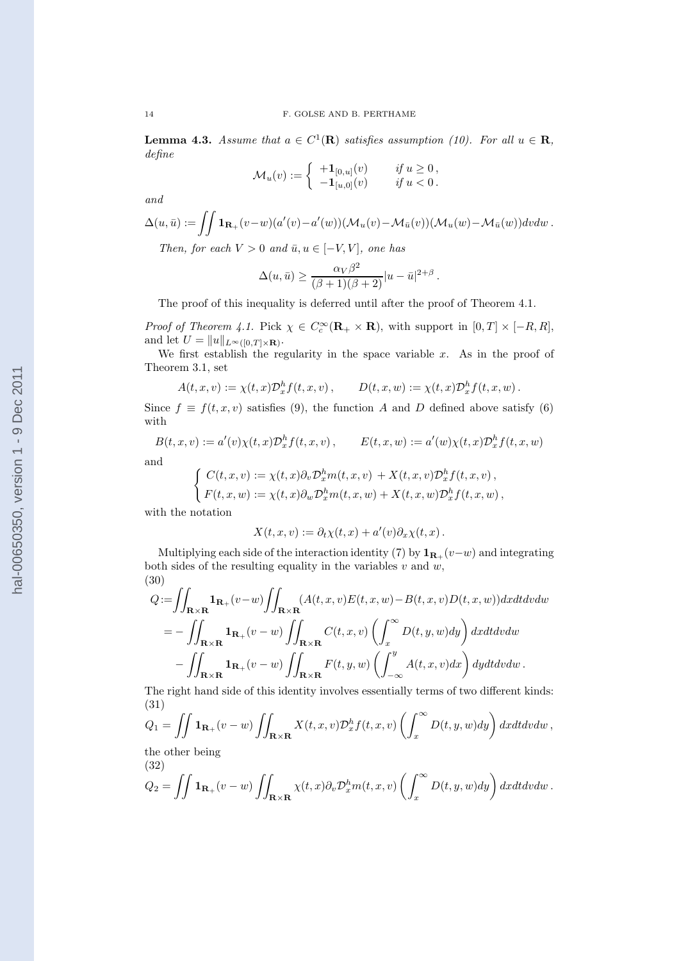**Lemma 4.3.** Assume that  $a \in C^1(\mathbf{R})$  satisfies assumption (10). For all  $u \in \mathbf{R}$ , define

$$
\mathcal{M}_u(v) := \left\{ \begin{array}{ll} +\mathbf{1}_{[0,u]}(v) & \text{if } u \ge 0, \\ -\mathbf{1}_{[u,0]}(v) & \text{if } u < 0. \end{array} \right.
$$

and

$$
\Delta(u,\bar{u}) := \iint \mathbf{1}_{\mathbf{R}_+}(v-w)(a'(v)-a'(w))(\mathcal{M}_u(v)-\mathcal{M}_{\bar{u}}(v))(\mathcal{M}_u(w)-\mathcal{M}_{\bar{u}}(w))dv dw.
$$

Then, for each  $V > 0$  and  $\bar{u}, u \in [-V, V]$ , one has

$$
\Delta(u, \bar{u}) \ge \frac{\alpha_V \beta^2}{(\beta + 1)(\beta + 2)} |u - \bar{u}|^{2 + \beta}.
$$

The proof of this inequality is deferred until after the proof of Theorem 4.1.

*Proof of Theorem 4.1.* Pick  $\chi \in C_c^{\infty}(\mathbf{R}_+ \times \mathbf{R})$ , with support in  $[0, T] \times [-R, R]$ , and let  $U = ||u||_{L^{\infty}([0,T] \times \mathbf{R})}$ .

We first establish the regularity in the space variable  $x$ . As in the proof of Theorem 3.1, set

$$
A(t,x,v) := \chi(t,x) \mathcal{D}_x^h f(t,x,v) , \qquad D(t,x,w) := \chi(t,x) \mathcal{D}_x^h f(t,x,w) .
$$

Since  $f \equiv f(t, x, v)$  satisfies (9), the function A and D defined above satisfy (6) with

$$
B(t, x, v) := a'(v)\chi(t, x)\mathcal{D}_x^h f(t, x, v), \qquad E(t, x, w) := a'(w)\chi(t, x)\mathcal{D}_x^h f(t, x, w)
$$
  
and  

$$
\int_{\mathbb{R}^d} C(t, x, v) := \chi(t, x)\partial_x^h \mathcal{D}_x^h f(t, x, v) + X(t, x, v)\mathcal{D}_x^h f(t, x, v)
$$

$$
\begin{cases}\nC(t, x, v) := \chi(t, x)\partial_v \mathcal{D}_x^h m(t, x, v) + X(t, x, v)\mathcal{D}_x^h f(t, x, v), \\
F(t, x, w) := \chi(t, x)\partial_w \mathcal{D}_x^h m(t, x, w) + X(t, x, w)\mathcal{D}_x^h f(t, x, w),\n\end{cases}
$$

with the notation

$$
X(t, x, v) := \partial_t \chi(t, x) + a'(v) \partial_x \chi(t, x).
$$

Multiplying each side of the interaction identity (7) by  $\mathbf{1}_{\mathbf{R}_+}(v-w)$  and integrating both sides of the resulting equality in the variables  $v$  and  $w$ , (30)

$$
Q := \iint_{\mathbf{R} \times \mathbf{R}} \mathbf{1}_{\mathbf{R}_+}(v-w) \iint_{\mathbf{R} \times \mathbf{R}} (A(t, x, v)E(t, x, w) - B(t, x, v)D(t, x, w)) dx dt dv dw
$$
  
= 
$$
- \iint_{\mathbf{R} \times \mathbf{R}} \mathbf{1}_{\mathbf{R}_+}(v-w) \iint_{\mathbf{R} \times \mathbf{R}} C(t, x, v) \left( \int_x^\infty D(t, y, w) dy \right) dx dt dv dw
$$
  

$$
- \iint_{\mathbf{R} \times \mathbf{R}} \mathbf{1}_{\mathbf{R}_+}(v-w) \iint_{\mathbf{R} \times \mathbf{R}} F(t, y, w) \left( \int_{-\infty}^y A(t, x, v) dx \right) dy dt dv dw.
$$

The right hand side of this identity involves essentially terms of two different kinds: (31)

$$
Q_1 = \iint \mathbf{1}_{\mathbf{R}_+}(v - w) \iint_{\mathbf{R} \times \mathbf{R}} X(t, x, v) \mathcal{D}_x^h f(t, x, v) \left( \int_x^\infty D(t, y, w) dy \right) dx dt dv dw,
$$

the other being (32)

$$
Q_2 = \iint \mathbf{1}_{\mathbf{R}_+}(v-w) \iint_{\mathbf{R}\times\mathbf{R}} \chi(t,x) \partial_v \mathcal{D}_x^h m(t,x,v) \left( \int_x^\infty D(t,y,w) dy \right) dx dt dv dw.
$$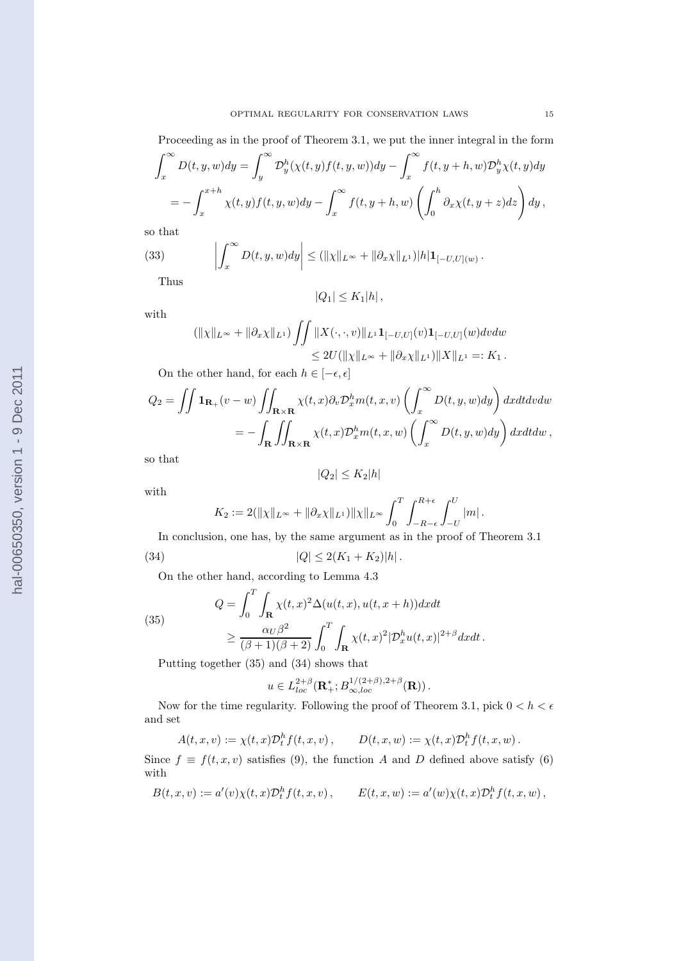Proceeding as in the proof of Theorem 3.1, we put the inner integral in the form

$$
\int_x^{\infty} D(t, y, w) dy = \int_y^{\infty} \mathcal{D}_y^h(\chi(t, y) f(t, y, w)) dy - \int_x^{\infty} f(t, y + h, w) \mathcal{D}_y^h \chi(t, y) dy
$$
  
= 
$$
- \int_x^{x+h} \chi(t, y) f(t, y, w) dy - \int_x^{\infty} f(t, y + h, w) \left( \int_0^h \partial_x \chi(t, y + z) dz \right) dy,
$$

so that

(33) 
$$
\left| \int_x^{\infty} D(t, y, w) dy \right| \leq (||\chi||_{L^{\infty}} + ||\partial_x \chi||_{L^1}) |h| \mathbf{1}_{[-U, U](w)}.
$$

Thus

$$
|Q_1| \leq K_1|h| \,,
$$

with

$$
(\|\chi\|_{L^{\infty}} + \|\partial_x \chi\|_{L^1}) \iint \|X(\cdot, \cdot, v)\|_{L^1} \mathbf{1}_{[-U,U]}(v) \mathbf{1}_{[-U,U]}(w) dv dw
$$
  
\n
$$
\leq 2U(\|\chi\|_{L^{\infty}} + \|\partial_x \chi\|_{L^1}) \|X\|_{L^1} =: K_1.
$$

On the other hand, for each  $h \in [-\epsilon, \epsilon]$ 

$$
Q_2 = \iint \mathbf{1}_{\mathbf{R}_+}(v - w) \iint_{\mathbf{R} \times \mathbf{R}} \chi(t, x) \partial_v \mathcal{D}_x^h m(t, x, v) \left( \int_x^\infty D(t, y, w) dy \right) dx dt dv dw
$$
  
= 
$$
- \int_{\mathbf{R}} \iint_{\mathbf{R} \times \mathbf{R}} \chi(t, x) \mathcal{D}_x^h m(t, x, w) \left( \int_x^\infty D(t, y, w) dy \right) dx dt dw,
$$

so that

$$
|Q_2| \le K_2 |h|
$$

with

$$
K_2 := 2(||\chi||_{L^{\infty}} + ||\partial_x \chi||_{L^1}) ||\chi||_{L^{\infty}} \int_0^T \int_{-R-\epsilon}^{R+\epsilon} \int_{-U}^U |m|.
$$

In conclusion, one has, by the same argument as in the proof of Theorem 3.1

(34) 
$$
|Q| \le 2(K_1 + K_2)|h|.
$$

On the other hand, according to Lemma 4.3

(35)  

$$
Q = \int_0^T \int_{\mathbf{R}} \chi(t, x)^2 \Delta(u(t, x), u(t, x + h)) dx dt
$$

$$
\geq \frac{\alpha_U \beta^2}{(\beta + 1)(\beta + 2)} \int_0^T \int_{\mathbf{R}} \chi(t, x)^2 |\mathcal{D}_x^h u(t, x)|^{2 + \beta} dx dt.
$$

Putting together (35) and (34) shows that

$$
u\in L^{2+\beta}_{loc}(\mathbf{R}_+^*; B^{1/(2+\beta),2+\beta}_{\infty,loc}(\mathbf{R}))\,.
$$

Now for the time regularity. Following the proof of Theorem 3.1, pick  $0 < h < \epsilon$ and set

$$
A(t,x,v) := \chi(t,x)\mathcal{D}_t^h f(t,x,v)\,,\qquad D(t,x,w) := \chi(t,x)\mathcal{D}_t^h f(t,x,w)\,.
$$

Since  $f \equiv f(t, x, v)$  satisfies (9), the function A and D defined above satisfy (6) with

$$
B(t,x,v) := a'(v)\chi(t,x)\mathcal{D}_t^h f(t,x,v) , \qquad E(t,x,w) := a'(w)\chi(t,x)\mathcal{D}_t^h f(t,x,w) ,
$$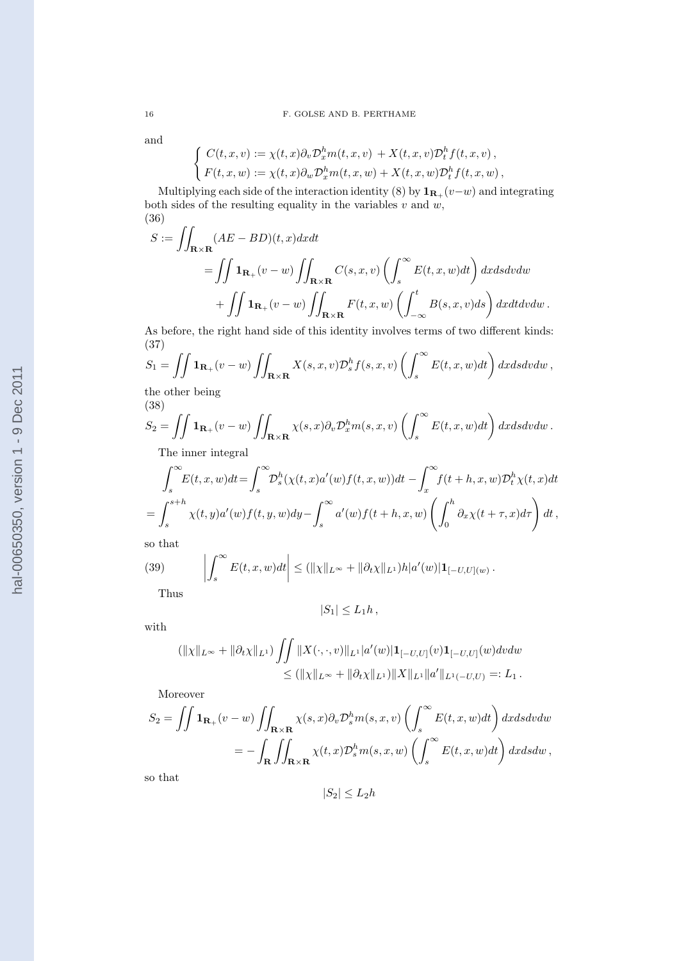and

$$
\begin{cases} C(t,x,v) := \chi(t,x)\partial_v \mathcal{D}_x^h m(t,x,v) + X(t,x,v)\mathcal{D}_t^h f(t,x,v), \\ F(t,x,w) := \chi(t,x)\partial_w \mathcal{D}_x^h m(t,x,w) + X(t,x,w)\mathcal{D}_t^h f(t,x,w), \end{cases}
$$

Multiplying each side of the interaction identity (8) by  $\mathbf{1}_{\mathbf{R}_+}(v-w)$  and integrating both sides of the resulting equality in the variables  $v$  and  $w$ , (36)

$$
S := \iint_{\mathbf{R} \times \mathbf{R}} (AE - BD)(t, x) dx dt
$$
  
= 
$$
\iint \mathbf{1}_{\mathbf{R}_+}(v - w) \iint_{\mathbf{R} \times \mathbf{R}} C(s, x, v) \left( \int_s^{\infty} E(t, x, w) dt \right) dx ds dv dw
$$
  
+ 
$$
\iint \mathbf{1}_{\mathbf{R}_+}(v - w) \iint_{\mathbf{R} \times \mathbf{R}} F(t, x, w) \left( \int_{-\infty}^t B(s, x, v) ds \right) dx dt dv dw.
$$

As before, the right hand side of this identity involves terms of two different kinds: (37)

$$
S_1 = \iint \mathbf{1}_{\mathbf{R}_+}(v - w) \iint_{\mathbf{R} \times \mathbf{R}} X(s, x, v) \mathcal{D}_s^h f(s, x, v) \left( \int_s^\infty E(t, x, w) dt \right) dx ds dv dw,
$$

the other being (38)

$$
S_2 = \iint \mathbf{1}_{\mathbf{R}_+}(v - w) \iint_{\mathbf{R} \times \mathbf{R}} \chi(s, x) \partial_v \mathcal{D}_x^h m(s, x, v) \left( \int_s^\infty E(t, x, w) dt \right) dx ds dv dw.
$$
  
The inner interval

The inner integral

$$
\int_{s}^{\infty} E(t, x, w) dt = \int_{s}^{\infty} \mathcal{D}_{s}^{h}(\chi(t, x)a'(w)f(t, x, w)) dt - \int_{x}^{\infty} f(t + h, x, w) \mathcal{D}_{t}^{h} \chi(t, x) dt
$$
  
= 
$$
\int_{s}^{s+h} \chi(t, y)a'(w)f(t, y, w) dy - \int_{s}^{\infty} a'(w)f(t + h, x, w) \left( \int_{0}^{h} \partial_{x} \chi(t + \tau, x) d\tau \right) dt,
$$

so that

(39) 
$$
\left| \int_s^{\infty} E(t, x, w) dt \right| \leq (||\chi||_{L^{\infty}} + ||\partial_t \chi||_{L^1}) h|a'(w)| \mathbf{1}_{[-U, U](w)}.
$$
 Thus

$$
|S_1|\leq L_1h\,,
$$

with

$$
(\|\chi\|_{L^{\infty}} + \|\partial_t \chi\|_{L^1}) \iint \|X(\cdot, \cdot, v)\|_{L^1} |a'(w)| \mathbf{1}_{[-U,U]}(v) \mathbf{1}_{[-U,U]}(w) dv dw
$$
  
\n
$$
\leq (\|\chi\|_{L^{\infty}} + \|\partial_t \chi\|_{L^1}) \|X\|_{L^1} \|a'\|_{L^1(-U,U)} =: L_1.
$$

Moreover

$$
S_2 = \iint \mathbf{1}_{\mathbf{R}_+}(v - w) \iint_{\mathbf{R} \times \mathbf{R}} \chi(s, x) \partial_v \mathcal{D}_s^h m(s, x, v) \left( \int_s^\infty E(t, x, w) dt \right) dx ds dv dw
$$
  
= 
$$
- \int_{\mathbf{R}} \iint_{\mathbf{R} \times \mathbf{R}} \chi(t, x) \mathcal{D}_s^h m(s, x, w) \left( \int_s^\infty E(t, x, w) dt \right) dx ds dw,
$$

so that

 $|S_2| \leq L_2 h$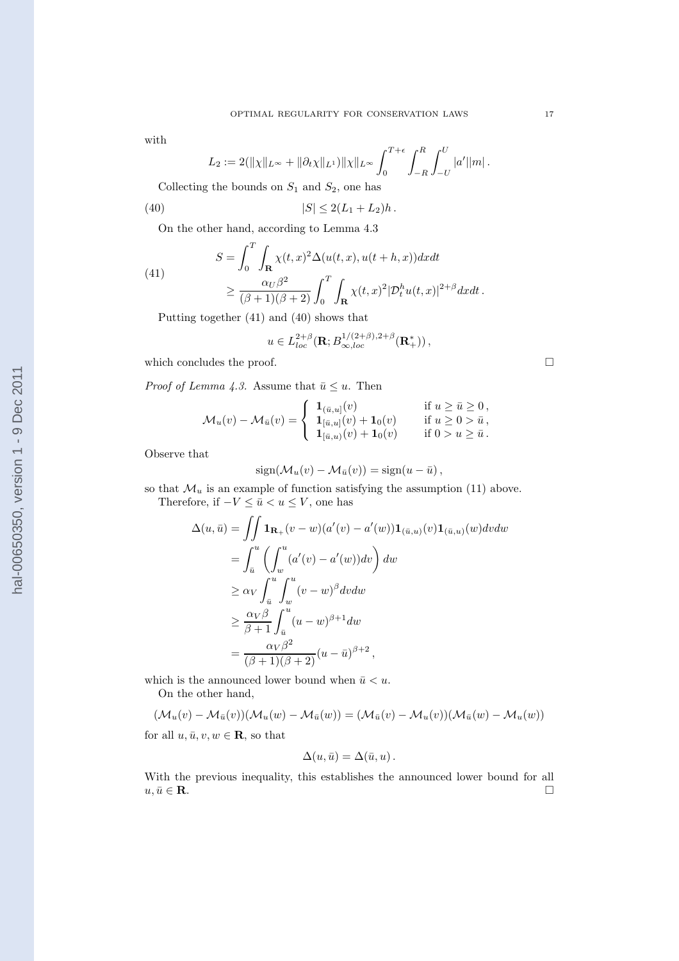# $L_2 := 2(\|\chi\|_{L^\infty} + \|\partial_t \chi\|_{L^1}) \|\chi\|_{L^\infty} \, \int^{T+\epsilon}$ Collecting the bounds on  $S_1$  and  $S_2$ , one has

with

(40) 
$$
|S| \le 2(L_1 + L_2)h.
$$

On the other hand, according to Lemma 4.3

(41)  

$$
S = \int_0^T \int_{\mathbf{R}} \chi(t, x)^2 \Delta(u(t, x), u(t + h, x)) dx dt
$$

$$
\geq \frac{\alpha_U \beta^2}{(\beta + 1)(\beta + 2)} \int_0^T \int_{\mathbf{R}} \chi(t, x)^2 |\mathcal{D}_t^h u(t, x)|^{2 + \beta} dx dt.
$$

Putting together (41) and (40) shows that

$$
u \in L_{loc}^{2+\beta}(\mathbf{R}; B_{\infty,loc}^{1/(2+\beta),2+\beta}(\mathbf{R}_+^*)),
$$

0

 $\int^R$  $-R$   $\int^U$  $-U$ 

 $|a'||m|$ .

which concludes the proof.  $\Box$ 

*Proof of Lemma 4.3.* Assume that  $\bar{u} \leq u$ . Then

$$
\mathcal{M}_{u}(v) - \mathcal{M}_{\bar{u}}(v) = \begin{cases} 1_{(\bar{u},u]}(v) & \text{if } u \ge \bar{u} \ge 0, \\ 1_{[\bar{u},u]}(v) + 1_{0}(v) & \text{if } u \ge 0 > \bar{u}, \\ 1_{[\bar{u},u]}(v) + 1_{0}(v) & \text{if } 0 > u \ge \bar{u}. \end{cases}
$$

Observe that

$$
sign(\mathcal{M}_u(v) - \mathcal{M}_{\bar{u}}(v)) = sign(u - \bar{u}),
$$

so that  $\mathcal{M}_u$  is an example of function satisfying the assumption (11) above. Therefore, if  $-V \le \bar{u} < u \le V$ , one has

$$
\Delta(u,\bar{u}) = \iint \mathbf{1}_{\mathbf{R}_+}(v - w)(a'(v) - a'(w))\mathbf{1}_{(\bar{u},u)}(v)\mathbf{1}_{(\bar{u},u)}(w)dv dw
$$
  
\n
$$
= \int_{\bar{u}}^u \left( \int_w^u (a'(v) - a'(w))dv \right) dw
$$
  
\n
$$
\geq \alpha_V \int_{\bar{u}}^u \int_w^u (v - w)^\beta dv dw
$$
  
\n
$$
\geq \frac{\alpha_V \beta}{\beta + 1} \int_{\bar{u}}^u (u - w)^{\beta + 1} dw
$$
  
\n
$$
= \frac{\alpha_V \beta^2}{(\beta + 1)(\beta + 2)} (u - \bar{u})^{\beta + 2},
$$

which is the announced lower bound when  $\bar{u} < u$ . On the other hand,

$$
(\mathcal{M}_u(v) - \mathcal{M}_{\bar{u}}(v))(\mathcal{M}_u(w) - \mathcal{M}_{\bar{u}}(w)) = (\mathcal{M}_{\bar{u}}(v) - \mathcal{M}_u(v))(\mathcal{M}_{\bar{u}}(w) - \mathcal{M}_u(w))
$$

for all  $u, \bar{u}, v, w \in \mathbf{R}$ , so that

$$
\Delta(u,\bar{u})=\Delta(\bar{u},u).
$$

With the previous inequality, this establishes the announced lower bound for all  $u, \bar{u} \in \mathbf{R}$ .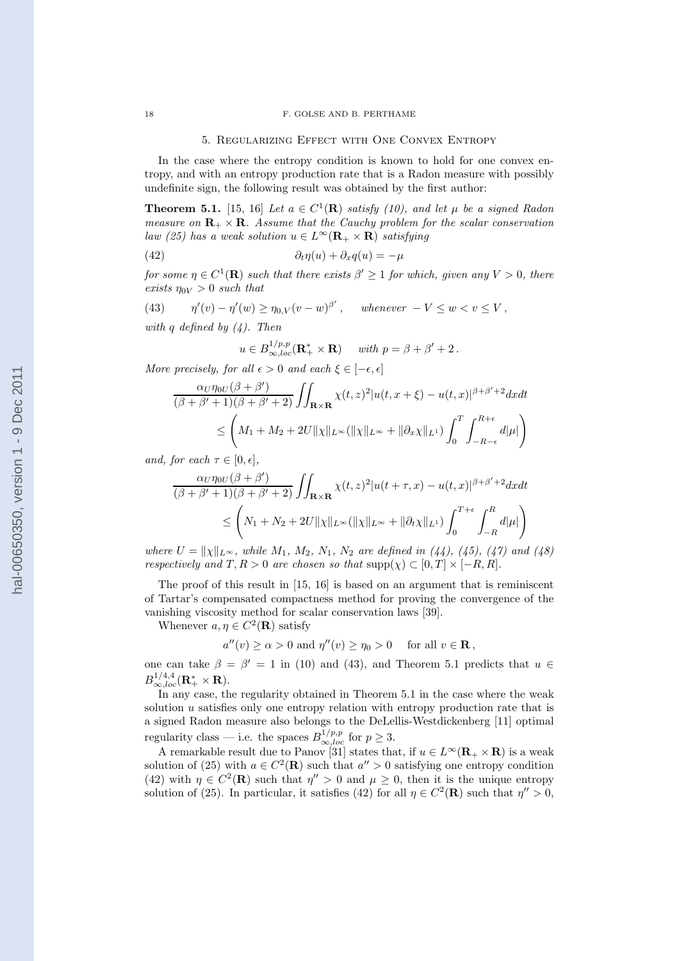## 18 F. GOLSE AND B. PERTHAME

#### 5. Regularizing Effect with One Convex Entropy

In the case where the entropy condition is known to hold for one convex entropy, and with an entropy production rate that is a Radon measure with possibly undefinite sign, the following result was obtained by the first author:

**Theorem 5.1.** [15, 16] Let  $a \in C^1(\mathbf{R})$  satisfy (10), and let  $\mu$  be a signed Radon measure on  $\mathbf{R}_+ \times \mathbf{R}$ . Assume that the Cauchy problem for the scalar conservation law (25) has a weak solution  $u \in L^{\infty}(\mathbf{R}_{+} \times \mathbf{R})$  satisfying

(42) 
$$
\partial_t \eta(u) + \partial_x q(u) = -\mu
$$

for some  $\eta \in C^1(\mathbf{R})$  such that there exists  $\beta' \geq 1$  for which, given any  $V > 0$ , there exists  $\eta_{0V} > 0$  such that

(43) 
$$
\eta'(v) - \eta'(w) \ge \eta_{0,V}(v-w)^{\beta'}, \quad \text{whenever } -V \le w < v \le V,
$$

with q defined by  $(4)$ . Then

$$
u \in B^{1/p,p}_{\infty,loc}(\mathbf{R}_+^* \times \mathbf{R}) \quad \text{ with } p = \beta + \beta' + 2 \,.
$$

More precisely, for all  $\epsilon > 0$  and each  $\xi \in [-\epsilon, \epsilon]$ 

$$
\frac{\alpha_U \eta_{0U}(\beta + \beta')}{(\beta + \beta' + 1)(\beta + \beta' + 2)} \iint_{\mathbf{R} \times \mathbf{R}} \chi(t, z)^2 |u(t, x + \xi) - u(t, x)|^{\beta + \beta' + 2} dx dt
$$
  

$$
\leq \left( M_1 + M_2 + 2U \| \chi \|_{L^\infty} (\|\chi\|_{L^\infty} + \|\partial_x \chi\|_{L^1}) \int_0^T \int_{-R-\epsilon}^{R+\epsilon} d|\mu| \right)
$$

and, for each  $\tau \in [0, \epsilon],$ 

$$
\frac{\alpha_U \eta_{0U}(\beta + \beta')}{(\beta + \beta' + 1)(\beta + \beta' + 2)} \iint_{\mathbf{R} \times \mathbf{R}} \chi(t, z)^2 |u(t + \tau, x) - u(t, x)|^{\beta + \beta' + 2} dx dt
$$
  

$$
\leq \left( N_1 + N_2 + 2U \| \chi \|_{L^{\infty}} (\|\chi\|_{L^{\infty}} + \|\partial_t \chi\|_{L^1}) \int_0^{T + \epsilon} \int_{-R}^R d|\mu| \right)
$$

where  $U = ||\chi||_{L^{\infty}}$ , while  $M_1, M_2, N_1, N_2$  are defined in (44), (45), (47) and (48) respectively and  $T, R > 0$  are chosen so that  $\text{supp}(\chi) \subset [0, T] \times [-R, R]$ .

The proof of this result in [15, 16] is based on an argument that is reminiscent of Tartar's compensated compactness method for proving the convergence of the vanishing viscosity method for scalar conservation laws [39].

Whenever  $a, \eta \in C^2(\mathbf{R})$  satisfy

$$
a''(v) \ge \alpha > 0
$$
 and  $\eta''(v) \ge \eta_0 > 0$  for all  $v \in \mathbb{R}$ ,

one can take  $\beta = \beta' = 1$  in (10) and (43), and Theorem 5.1 predicts that  $u \in$  $B_{\infty,loc}^{1/4,4}({\bf R}^*_+\times {\bf R}).$ 

In any case, the regularity obtained in Theorem 5.1 in the case where the weak solution  $u$  satisfies only one entropy relation with entropy production rate that is a signed Radon measure also belongs to the DeLellis-Westdickenberg [11] optimal regularity class — i.e. the spaces  $B_{\infty,loc}^{1/p,p}$  for  $p \geq 3$ .

A remarkable result due to Panov [31] states that, if  $u \in L^{\infty}(\mathbf{R}_{+} \times \mathbf{R})$  is a weak solution of (25) with  $a \in C^2(\mathbf{R})$  such that  $a'' > 0$  satisfying one entropy condition (42) with  $\eta \in C^2(\mathbf{R})$  such that  $\eta'' > 0$  and  $\mu \geq 0$ , then it is the unique entropy solution of (25). In particular, it satisfies (42) for all  $\eta \in C^2(\mathbf{R})$  such that  $\eta'' > 0$ ,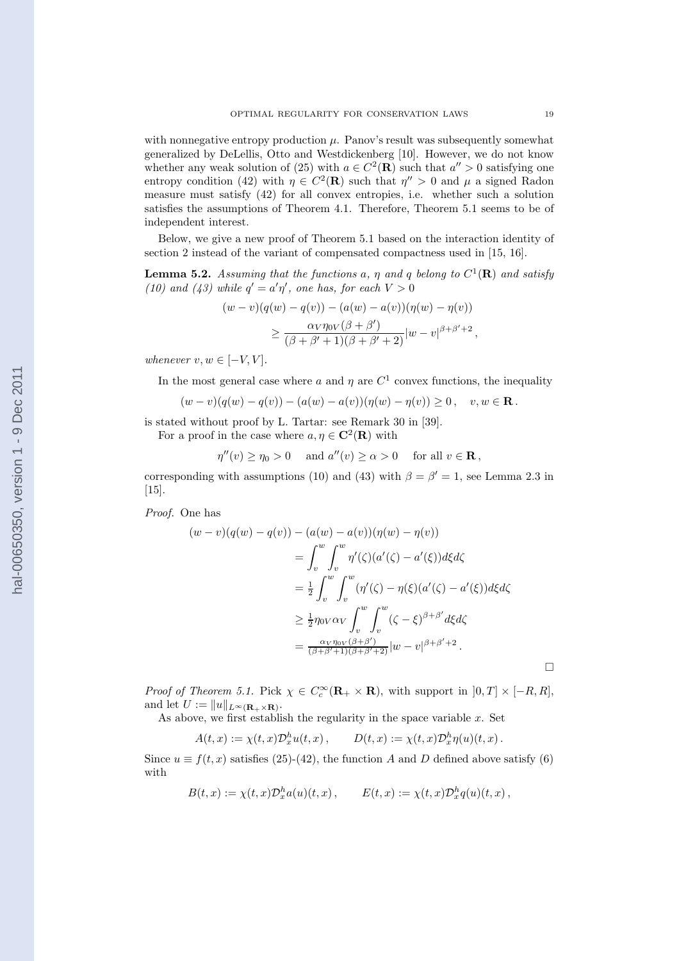with nonnegative entropy production  $\mu$ . Panov's result was subsequently somewhat generalized by DeLellis, Otto and Westdickenberg [10]. However, we do not know whether any weak solution of (25) with  $a \in C^2(\mathbf{R})$  such that  $a'' > 0$  satisfying one entropy condition (42) with  $\eta \in C^2(\mathbf{R})$  such that  $\eta'' > 0$  and  $\mu$  a signed Radon measure must satisfy (42) for all convex entropies, i.e. whether such a solution satisfies the assumptions of Theorem 4.1. Therefore, Theorem 5.1 seems to be of independent interest.

Below, we give a new proof of Theorem 5.1 based on the interaction identity of section 2 instead of the variant of compensated compactness used in [15, 16].

**Lemma 5.2.** Assuming that the functions a,  $\eta$  and  $q$  belong to  $C^1(\mathbf{R})$  and satisfy (10) and (43) while  $q' = a'\eta'$ , one has, for each  $V > 0$ 

$$
(w-v)(q(w) - q(v)) - (a(w) - a(v))(\eta(w) - \eta(v))
$$
  
 
$$
\geq \frac{\alpha_V \eta_{0V}(\beta + \beta')}{(\beta + \beta' + 1)(\beta + \beta' + 2)}|w - v|^{\beta + \beta' + 2},
$$

whenever  $v, w \in [-V, V]$ .

In the most general case where a and  $\eta$  are  $C^1$  convex functions, the inequality

$$
(w-v)(q(w) - q(v)) - (a(w) - a(v))(\eta(w) - \eta(v)) \ge 0, \quad v, w \in \mathbf{R}.
$$

is stated without proof by L. Tartar: see Remark 30 in [39]. For a proof in the case where  $a, \eta \in \mathbb{C}^2(\mathbb{R})$  with

 $\eta''(v) \ge \eta_0 > 0$  and  $a''(v) \ge \alpha > 0$  for all  $v \in \mathbf{R}$ ,

corresponding with assumptions (10) and (43) with  $\beta = \beta' = 1$ , see Lemma 2.3 in [15].

Proof. One has

$$
(w-v)(q(w) - q(v)) - (a(w) - a(v))(\eta(w) - \eta(v))
$$
  
= 
$$
\int_v^w \int_v^w \eta'(\zeta)(a'(\zeta) - a'(\xi))d\xi d\zeta
$$
  
= 
$$
\frac{1}{2} \int_v^w \int_v^w (\eta'(\zeta) - \eta(\xi)(a'(\zeta) - a'(\xi))d\xi d\zeta
$$
  

$$
\geq \frac{1}{2} \eta_0 \sqrt{\alpha_V} \int_v^w \int_v^w (\zeta - \xi)^{\beta + \beta'} d\xi d\zeta
$$
  
= 
$$
\frac{\alpha_V \eta_0 \sqrt{(\beta + \beta')}}{(\beta + \beta' + 1)(\beta + \beta' + 2)} |w - v|^{\beta + \beta' + 2}.
$$

*Proof of Theorem 5.1.* Pick  $\chi \in C_c^{\infty}(\mathbf{R}_+ \times \mathbf{R})$ , with support in  $[0, T] \times [-R, R]$ , and let  $U := ||u||_{L^{\infty}(\mathbf{R}_{+} \times \mathbf{R})}$ .

As above, we first establish the regularity in the space variable  $x$ . Set

$$
A(t,x) := \chi(t,x) \mathcal{D}_x^h u(t,x) , \qquad D(t,x) := \chi(t,x) \mathcal{D}_x^h \eta(u)(t,x) .
$$

Since  $u \equiv f(t, x)$  satisfies (25)-(42), the function A and D defined above satisfy (6) with

$$
B(t,x) := \chi(t,x) \mathcal{D}_x^h a(u)(t,x) , \qquad E(t,x) := \chi(t,x) \mathcal{D}_x^h q(u)(t,x) ,
$$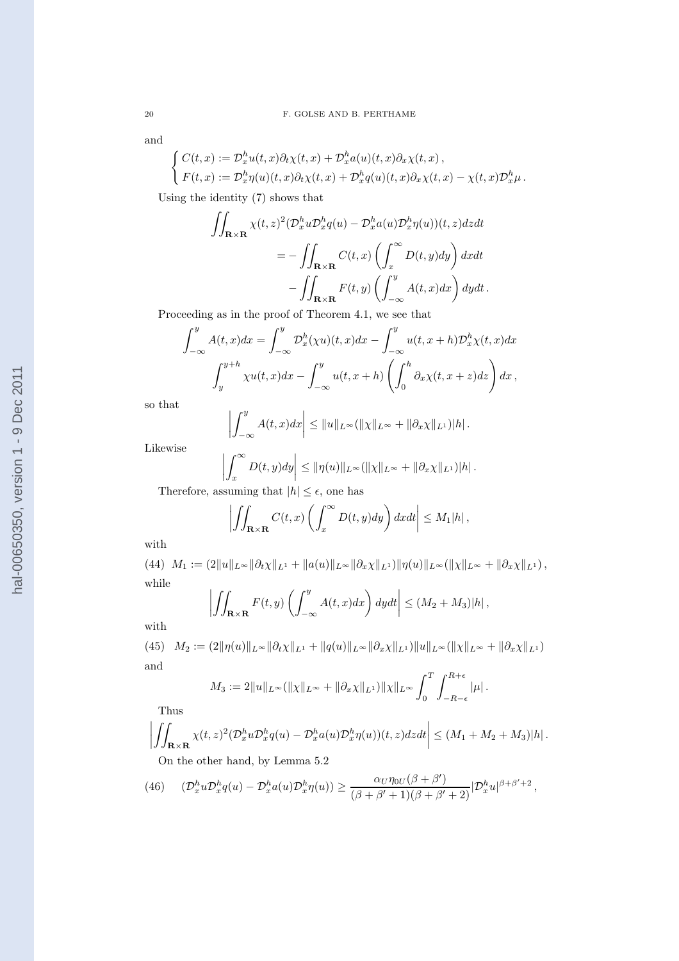and

$$
\begin{cases}\nC(t,x) := \mathcal{D}_x^h u(t,x) \partial_t \chi(t,x) + \mathcal{D}_x^h a(u)(t,x) \partial_x \chi(t,x), \\
F(t,x) := \mathcal{D}_x^h \eta(u)(t,x) \partial_t \chi(t,x) + \mathcal{D}_x^h q(u)(t,x) \partial_x \chi(t,x) - \chi(t,x) \mathcal{D}_x^h \mu.\n\end{cases}
$$

Using the identity (7) shows that

$$
\iint_{\mathbf{R}\times\mathbf{R}} \chi(t,z)^2 (\mathcal{D}_x^h u \mathcal{D}_x^h q(u) - \mathcal{D}_x^h a(u) \mathcal{D}_x^h \eta(u))(t,z) dz dt
$$
  
= 
$$
- \iint_{\mathbf{R}\times\mathbf{R}} C(t,x) \left( \int_x^\infty D(t,y) dy \right) dx dt
$$

$$
- \iint_{\mathbf{R}\times\mathbf{R}} F(t,y) \left( \int_{-\infty}^y A(t,x) dx \right) dy dt.
$$

Proceeding as in the proof of Theorem 4.1, we see that

 $\overline{1}$ 

$$
\int_{-\infty}^{y} A(t, x) dx = \int_{-\infty}^{y} \mathcal{D}_x^h(\chi u)(t, x) dx - \int_{-\infty}^{y} u(t, x + h) \mathcal{D}_x^h(\chi(t, x)) dx
$$

$$
\int_{y}^{y+h} \chi u(t, x) dx - \int_{-\infty}^{y} u(t, x + h) \left( \int_{0}^{h} \partial_x \chi(t, x + z) dz \right) dx,
$$

so that

$$
\left|\int_{-\infty}^y A(t,x)dx\right| \leq \|u\|_{L^\infty} (\|\chi\|_{L^\infty} + \|\partial_x \chi\|_{L^1})|h|.
$$

Likewise

$$
\left| \int_x^{\infty} D(t, y) dy \right| \leq \|\eta(u)\|_{L^{\infty}} (\|\chi\|_{L^{\infty}} + \|\partial_x \chi\|_{L^1}) |h|.
$$
  
suming that  $|h| \leq \epsilon$ , one has

Therefore, assuming that  $|h| \leq \epsilon$ , one has

 $\sim$ 

$$
\left| \iint_{\mathbf{R}\times\mathbf{R}} C(t,x) \left( \int_x^\infty D(t,y) dy \right) dx dt \right| \le M_1|h|,
$$

with

(44)  $M_1 := (2||u||_{L^{\infty}}||\partial_t \chi||_{L^1} + ||a(u)||_{L^{\infty}}||\partial_x \chi||_{L^1})||\eta(u)||_{L^{\infty}}(||\chi||_{L^{\infty}} + ||\partial_x \chi||_{L^1}),$ while  $\mathcal{L}_{\text{max}}$  $\mathcal{L}$  $\overline{1}$ 

$$
\left| \iint_{\mathbf{R}\times\mathbf{R}} F(t,y) \left( \int_{-\infty}^{y} A(t,x) dx \right) dy dt \right| \leq (M_2 + M_3)|h|,
$$

with

(45)  $M_2 := (2||\eta(u)||_{L^{\infty}}||\partial_t \chi||_{L^1} + ||q(u)||_{L^{\infty}}||\partial_x \chi||_{L^1})||u||_{L^{\infty}}(||\chi||_{L^{\infty}} + ||\partial_x \chi||_{L^1})$ and

$$
M_3 := 2||u||_{L^{\infty}}(||\chi||_{L^{\infty}} + ||\partial_x \chi||_{L^1})||\chi||_{L^{\infty}} \int_0^T \int_{-R-\epsilon}^{R+\epsilon} |\mu|.
$$

Thus

$$
\left| \iint_{\mathbf{R}\times\mathbf{R}} \chi(t,z)^2 (\mathcal{D}_x^h u \mathcal{D}_x^h q(u) - \mathcal{D}_x^h a(u) \mathcal{D}_x^h \eta(u))(t,z) dz dt \right| \le (M_1 + M_2 + M_3)|h|.
$$
  
On the other hand, by Lemma 5.2

(46) 
$$
(\mathcal{D}_x^h u \mathcal{D}_x^h q(u) - \mathcal{D}_x^h a(u) \mathcal{D}_x^h \eta(u)) \geq \frac{\alpha_U \eta_{0U}(\beta + \beta')}{(\beta + \beta' + 1)(\beta + \beta' + 2)} |\mathcal{D}_x^h u|^{\beta + \beta' + 2},
$$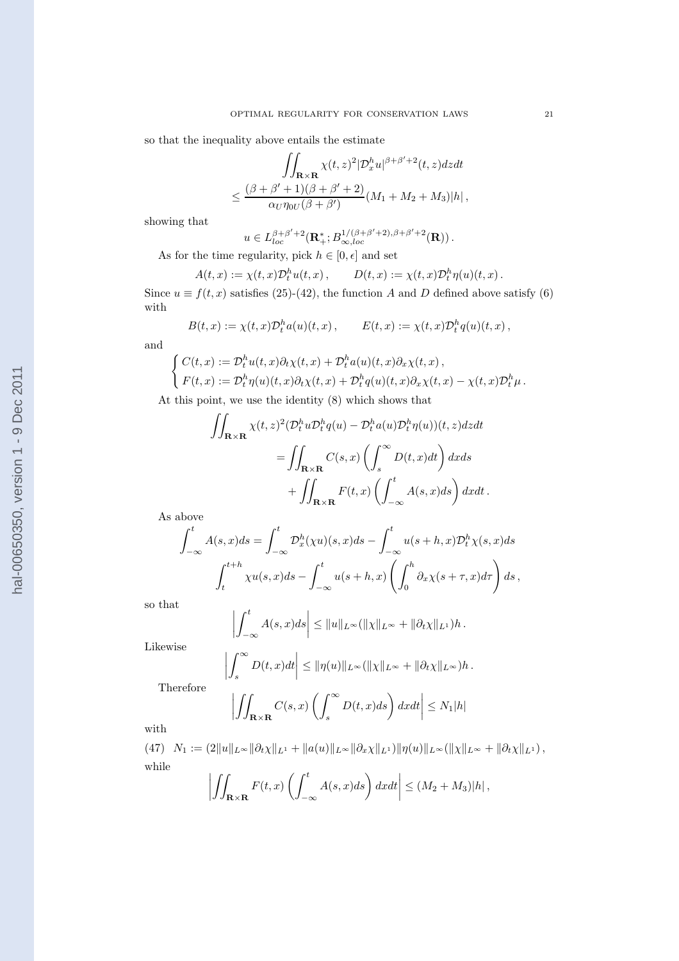so that the inequality above entails the estimate

$$
\iint_{\mathbf{R}\times\mathbf{R}} \chi(t,z)^2 |\mathcal{D}_x^h u|^{\beta+\beta'+2}(t,z) dz dt
$$
  

$$
\leq \frac{(\beta+\beta'+1)(\beta+\beta'+2)}{\alpha_U \eta_{0U}(\beta+\beta')} (M_1+M_2+M_3)|h|,
$$

showing that

$$
u \in L_{loc}^{\beta+\beta'+2}(\mathbf{R}^*_+; B_{\infty,loc}^{1/(\beta+\beta'+2),\beta+\beta'+2}(\mathbf{R}))
$$
.

As for the time regularity, pick  $h \in [0, \epsilon]$  and set

$$
A(t,x):=\chi(t,x)\mathcal{D}_t^h u(t,x)\,,\qquad D(t,x):=\chi(t,x)\mathcal{D}_t^h \eta(u)(t,x)\,.
$$

Since  $u \equiv f(t, x)$  satisfies (25)-(42), the function A and D defined above satisfy (6) with

$$
B(t,x) := \chi(t,x) \mathcal{D}_t^h a(u)(t,x), \qquad E(t,x) := \chi(t,x) \mathcal{D}_t^h q(u)(t,x),
$$

and

$$
\begin{cases}\nC(t,x) := \mathcal{D}_t^h u(t,x) \partial_t \chi(t,x) + \mathcal{D}_t^h a(u)(t,x) \partial_x \chi(t,x), \\
F(t,x) := \mathcal{D}_t^h \eta(u)(t,x) \partial_t \chi(t,x) + \mathcal{D}_t^h q(u)(t,x) \partial_x \chi(t,x) - \chi(t,x) \mathcal{D}_t^h \mu.\n\end{cases}
$$

At this point, we use the identity (8) which shows that

$$
\iint_{\mathbf{R}\times\mathbf{R}} \chi(t,z)^2 (\mathcal{D}_t^h u \mathcal{D}_t^h q(u) - \mathcal{D}_t^h a(u) \mathcal{D}_t^h \eta(u))(t,z) dz dt
$$
  
= 
$$
\iint_{\mathbf{R}\times\mathbf{R}} C(s,x) \left( \int_s^\infty D(t,x) dt \right) dx ds
$$
  
+ 
$$
\iint_{\mathbf{R}\times\mathbf{R}} F(t,x) \left( \int_{-\infty}^t A(s,x) ds \right) dx dt.
$$

As above

$$
\int_{-\infty}^{t} A(s, x)ds = \int_{-\infty}^{t} \mathcal{D}_x^h(\chi u)(s, x)ds - \int_{-\infty}^{t} u(s+h, x)\mathcal{D}_t^h\chi(s, x)ds
$$

$$
\int_{t}^{t+h} \chi u(s, x)ds - \int_{-\infty}^{t} u(s+h, x)\left(\int_{0}^{h} \partial_x\chi(s+\tau, x)d\tau\right)ds,
$$

so that

$$
\left|\int_{-\infty}^t A(s,x)ds\right| \leq \|u\|_{L^\infty}(\|\chi\|_{L^\infty} + \|\partial_t \chi\|_{L^1})h.
$$

Likewise

$$
\left|\int_s^\infty D(t,x)dt\right| \leq \|\eta(u)\|_{L^\infty} (\|\chi\|_{L^\infty} + \|\partial_t \chi\|_{L^\infty})h.
$$

Therefore

$$
\left| \iint_{\mathbf{R}\times\mathbf{R}} C(s,x) \left( \int_s^\infty D(t,x)ds \right) dxdt \right| \le N_1|h|
$$

with

 $(47)$   $N_1 := (2||u||_{L^{\infty}}||\partial_t \chi||_{L^1} + ||a(u)||_{L^{\infty}}||\partial_x \chi||_{L^1})||\eta(u)||_{L^{\infty}}(||\chi||_{L^{\infty}} + ||\partial_t \chi||_{L^1}),$ while  $\overline{\phantom{a}}$  $\overline{\phantom{a}}$  $\int$  $\int f^t$  $\overline{\phantom{a}}$ 

$$
\left| \iint_{\mathbf{R}\times\mathbf{R}} F(t,x) \left( \int_{-\infty}^t A(s,x)ds \right) dxdt \right| \leq (M_2 + M_3)|h|,
$$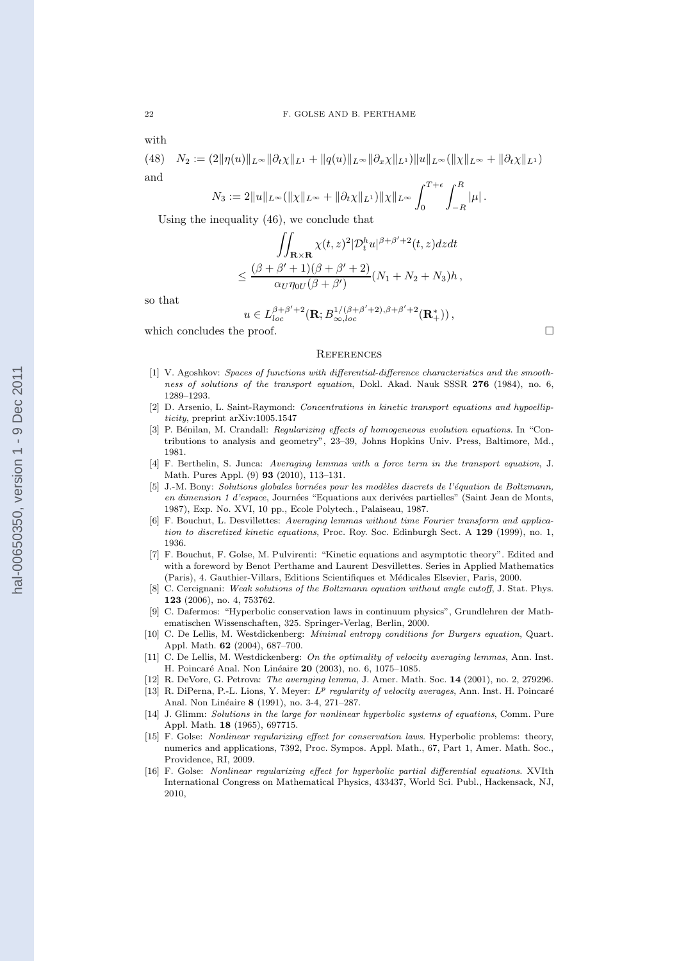with

(48) 
$$
N_2 := (2||\eta(u)||_{L^{\infty}}||\partial_t \chi||_{L^1} + ||q(u)||_{L^{\infty}}||\partial_x \chi||_{L^1})||u||_{L^{\infty}}(||\chi||_{L^{\infty}} + ||\partial_t \chi||_{L^1})
$$
  
and

$$
N_3 := 2||u||_{L^{\infty}}(||\chi||_{L^{\infty}} + ||\partial_t \chi||_{L^1})||\chi||_{L^{\infty}} \int_0^{T+\epsilon} \int_{-R}^R |\mu|.
$$

Using the inequality (46), we conclude that

$$
\iint_{\mathbf{R}\times\mathbf{R}} \chi(t,z)^2 |\mathcal{D}_t^h u|^{\beta+\beta'+2}(t,z) dz dt
$$
  

$$
\leq \frac{(\beta+\beta'+1)(\beta+\beta'+2)}{\alpha_U \eta_{0U}(\beta+\beta')} (N_1+N_2+N_3)h,
$$

so that

$$
u\in L^{\beta+\beta'+2}_{loc}(\mathbf{R};B^{1/(\beta+\beta'+2),\beta+\beta'+2}_{\infty,loc}(\mathbf{R}_+^*)\big)\,,
$$

which concludes the proof.  $\Box$ 

#### **REFERENCES**

- [1] V. Agoshkov: Spaces of functions with differential-difference characteristics and the smoothness of solutions of the transport equation, Dokl. Akad. Nauk SSSR 276 (1984), no. 6, 1289–1293.
- [2] D. Arsenio, L. Saint-Raymond: Concentrations in kinetic transport equations and hypoellipticity, preprint arXiv:1005.1547
- [3] P. Bénilan, M. Crandall: Regularizing effects of homogeneous evolution equations. In "Contributions to analysis and geometry", 23–39, Johns Hopkins Univ. Press, Baltimore, Md., 1981.
- [4] F. Berthelin, S. Junca: Averaging lemmas with a force term in the transport equation, J. Math. Pures Appl. (9) 93 (2010), 113–131.
- [5] J.-M. Bony: Solutions globales bornées pour les modèles discrets de l'équation de Boltzmann, en dimension 1 d'espace, Journées "Equations aux derivées partielles" (Saint Jean de Monts, 1987), Exp. No. XVI, 10 pp., Ecole Polytech., Palaiseau, 1987.
- [6] F. Bouchut, L. Desvillettes: Averaging lemmas without time Fourier transform and application to discretized kinetic equations, Proc. Roy. Soc. Edinburgh Sect. A 129 (1999), no. 1, 1936.
- [7] F. Bouchut, F. Golse, M. Pulvirenti: "Kinetic equations and asymptotic theory". Edited and with a foreword by Benot Perthame and Laurent Desvillettes. Series in Applied Mathematics (Paris), 4. Gauthier-Villars, Editions Scientifiques et M´edicales Elsevier, Paris, 2000.
- [8] C. Cercignani: Weak solutions of the Boltzmann equation without angle cutoff, J. Stat. Phys. 123 (2006), no. 4, 753762.
- [9] C. Dafermos: "Hyperbolic conservation laws in continuum physics", Grundlehren der Mathematischen Wissenschaften, 325. Springer-Verlag, Berlin, 2000.
- [10] C. De Lellis, M. Westdickenberg: *Minimal entropy conditions for Burgers equation*, Quart. Appl. Math. 62 (2004), 687–700.
- [11] C. De Lellis, M. Westdickenberg: On the optimality of velocity averaging lemmas, Ann. Inst. H. Poincaré Anal. Non Linéaire 20 (2003), no. 6, 1075–1085.
- [12] R. DeVore, G. Petrova: The averaging lemma, J. Amer. Math. Soc. 14 (2001), no. 2, 279296.
- [13] R. DiPerna, P.-L. Lions, Y. Meyer:  $L^p$  regularity of velocity averages, Ann. Inst. H. Poincaré Anal. Non Linéaire 8 (1991), no. 3-4, 271–287.
- [14] J. Glimm: Solutions in the large for nonlinear hyperbolic systems of equations, Comm. Pure Appl. Math. 18 (1965), 697715.
- [15] F. Golse: *Nonlinear regularizing effect for conservation laws*. Hyperbolic problems: theory, numerics and applications, 7392, Proc. Sympos. Appl. Math., 67, Part 1, Amer. Math. Soc., Providence, RI, 2009.
- [16] F. Golse: Nonlinear regularizing effect for hyperbolic partial differential equations. XVIth International Congress on Mathematical Physics, 433437, World Sci. Publ., Hackensack, NJ, 2010,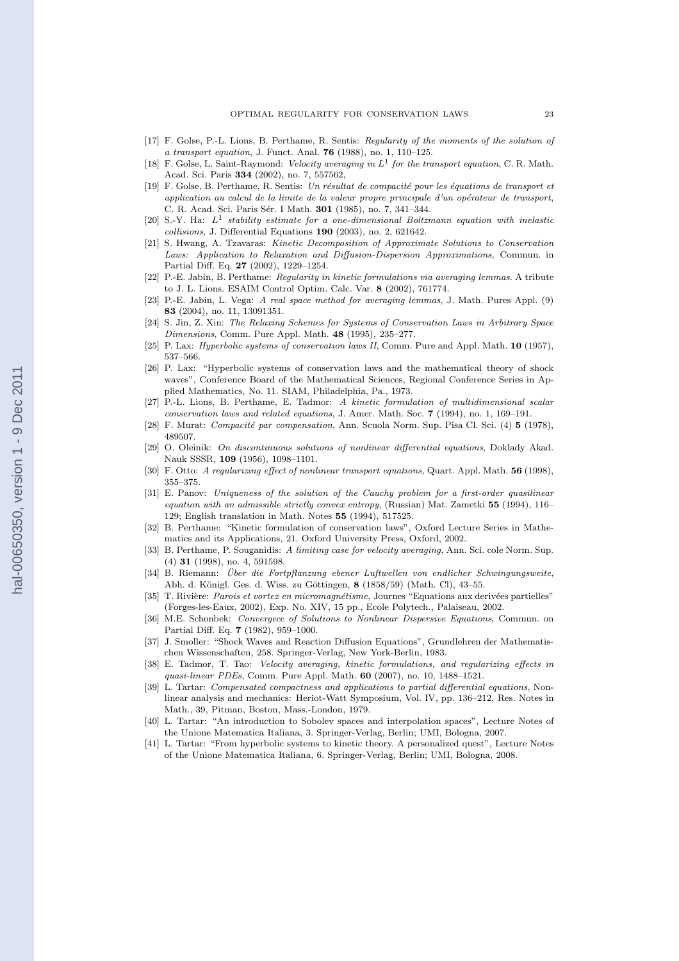- [17] F. Golse, P.-L. Lions, B. Perthame, R. Sentis: Regularity of the moments of the solution of a transport equation, J. Funct. Anal. 76 (1988), no. 1, 110–125.
- [18] F. Golse, L. Saint-Raymond: Velocity averaging in  $L^1$  for the transport equation, C. R. Math. Acad. Sci. Paris 334 (2002), no. 7, 557562,
- $[19]$  F. Golse, B. Perthame, R. Sentis: Un résultat de compacité pour les équations de transport et application au calcul de la limite de la valeur propre principale d'un opérateur de transport, C. R. Acad. Sci. Paris Sér. I Math. 301 (1985), no. 7, 341–344.
- [20] S.-Y. Ha:  $L^1$  stability estimate for a one-dimensional Boltzmann equation with inelastic collisions, J. Differential Equations 190 (2003), no. 2, 621642.
- [21] S. Hwang, A. Tzavaras: Kinetic Decomposition of Approximate Solutions to Conservation Laws: Application to Relaxation and Diffusion-Dispersion Approximations, Commun. in Partial Diff. Eq. 27 (2002), 1229–1254.
- [22] P.-E. Jabin, B. Perthame: Regularity in kinetic formulations via averaging lemmas. A tribute to J. L. Lions. ESAIM Control Optim. Calc. Var. 8 (2002), 761774.
- [23] P.-E. Jabin, L. Vega: A real space method for averaging lemmas, J. Math. Pures Appl. (9) 83 (2004), no. 11, 13091351.
- [24] S. Jin, Z. Xin: The Relaxing Schemes for Systems of Conservation Laws in Arbitrary Space Dimensions, Comm. Pure Appl. Math. 48 (1995), 235–277.
- [25] P. Lax: Hyperbolic systems of conservation laws II, Comm. Pure and Appl. Math. 10 (1957), 537–566.
- [26] P. Lax: "Hyperbolic systems of conservation laws and the mathematical theory of shock waves", Conference Board of the Mathematical Sciences, Regional Conference Series in Applied Mathematics, No. 11. SIAM, Philadelphia, Pa., 1973.
- [27] P.-L. Lions, B. Perthame, E. Tadmor: A kinetic formulation of multidimensional scalar conservation laws and related equations, J. Amer. Math. Soc. 7 (1994), no. 1, 169–191.
- [28] F. Murat: *Compacité par compensation*, Ann. Scuola Norm. Sup. Pisa Cl. Sci. (4)  $\bf{5}$  (1978), 489507.
- [29] O. Oleinik: On discontinuous solutions of nonlinear differential equations, Doklady Akad. Nauk SSSR, 109 (1956), 1098–1101.
- [30] F. Otto: A regularizing effect of nonlinear transport equations, Quart. Appl. Math. 56 (1998), 355–375.
- [31] E. Panov: Uniqueness of the solution of the Cauchy problem for a first-order quasilinear equation with an admissible strictly convex entropy, (Russian) Mat. Zametki 55 (1994), 116– 129; English translation in Math. Notes 55 (1994), 517525.
- [32] B. Perthame: "Kinetic formulation of conservation laws", Oxford Lecture Series in Mathematics and its Applications, 21. Oxford University Press, Oxford, 2002.
- [33] B. Perthame, P. Souganidis: A limiting case for velocity averaging, Ann. Sci. cole Norm. Sup. (4) 31 (1998), no. 4, 591598.
- [34] B. Riemann: Über die Fortpflanzung ebener Luftwellen von endlicher Schwingungsweite, Abh. d. Königl. Ges. d. Wiss. zu Göttingen, 8 (1858/59) (Math. Cl), 43–55.
- [35] T. Rivière: Parois et vortex en micromagnétisme, Journes "Equations aux derivées partielles" (Forges-les-Eaux, 2002), Exp. No. XIV, 15 pp., Ecole Polytech., Palaiseau, 2002.
- [36] M.E. Schonbek: Convergece of Solutions to Nonlinear Dispersive Equations, Commun. on Partial Diff. Eq. 7 (1982), 959–1000.
- [37] J. Smoller: "Shock Waves and Reaction Diffusion Equations", Grundlehren der Mathematischen Wissenschaften, 258. Springer-Verlag, New York-Berlin, 1983.
- [38] E. Tadmor, T. Tao: Velocity averaging, kinetic formulations, and regularizing effects in quasi-linear PDEs, Comm. Pure Appl. Math. 60 (2007), no. 10, 1488–1521.
- [39] L. Tartar: Compensated compactness and applications to partial differential equations, Nonlinear analysis and mechanics: Heriot-Watt Symposium, Vol. IV, pp. 136–212, Res. Notes in Math., 39, Pitman, Boston, Mass.-London, 1979.
- [40] L. Tartar: "An introduction to Sobolev spaces and interpolation spaces", Lecture Notes of the Unione Matematica Italiana, 3. Springer-Verlag, Berlin; UMI, Bologna, 2007.
- [41] L. Tartar: "From hyperbolic systems to kinetic theory. A personalized quest", Lecture Notes of the Unione Matematica Italiana, 6. Springer-Verlag, Berlin; UMI, Bologna, 2008.